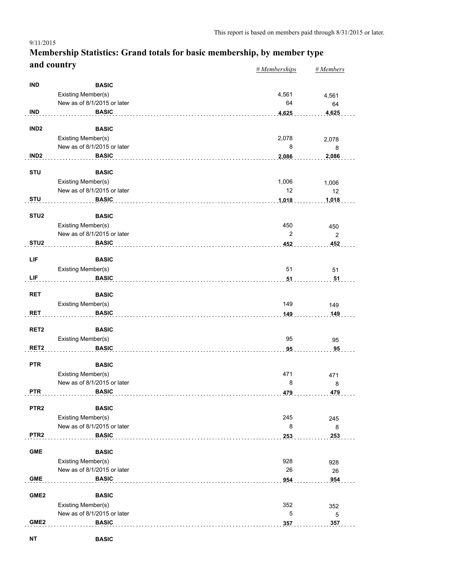### *# Memberships # Members* **Membership Statistics: Grand totals for basic membership, by member type and country**

|                  |                             | $\pi$ <i>memberships</i> | $\pi$ <i>wienivers</i> |
|------------------|-----------------------------|--------------------------|------------------------|
| <b>IND</b>       | <b>BASIC</b>                |                          |                        |
|                  |                             |                          |                        |
|                  | Existing Member(s)          | 4,561                    | 4,561                  |
|                  | New as of 8/1/2015 or later | 64                       | 64                     |
| <b>IND</b>       | <b>BASIC</b>                | 4,625                    | 4,625                  |
|                  |                             |                          |                        |
| IND <sub>2</sub> | <b>BASIC</b>                |                          |                        |
|                  | Existing Member(s)          | 2,078                    | 2,078                  |
|                  | New as of 8/1/2015 or later | 8                        | 8                      |
| IND <sub>2</sub> | <b>BASIC</b>                | 2,086                    | 2,086                  |
|                  |                             |                          |                        |
| <b>STU</b>       | <b>BASIC</b>                |                          |                        |
|                  | Existing Member(s)          | 1,006                    | 1,006                  |
|                  | New as of 8/1/2015 or later | 12                       | 12                     |
| <b>STU</b>       | <b>BASIC</b>                | 1,018                    | 1,018                  |
|                  |                             |                          |                        |
| STU <sub>2</sub> | <b>BASIC</b>                |                          |                        |
|                  | Existing Member(s)          | 450                      | 450                    |
|                  | New as of 8/1/2015 or later | $\overline{2}$           | $\overline{2}$         |
| STU <sub>2</sub> | <b>BASIC</b>                | 452                      | 452                    |
|                  |                             |                          |                        |
| LIF              | <b>BASIC</b>                |                          |                        |
|                  | Existing Member(s)          | 51                       | 51                     |
| LIF              | <b>BASIC</b>                | 51                       | 51                     |
|                  |                             |                          |                        |
| <b>RET</b>       | <b>BASIC</b>                |                          |                        |
|                  | Existing Member(s)          | 149                      | 149                    |
| <b>RET</b>       | <b>BASIC</b>                | 149                      | 149                    |
|                  |                             |                          |                        |
| RET <sub>2</sub> | <b>BASIC</b>                |                          |                        |
|                  | Existing Member(s)          | 95                       | 95                     |
| RET <sub>2</sub> | <b>BASIC</b>                | 95                       | 95                     |
|                  | <b>BASIC</b>                |                          |                        |
| <b>PTR</b>       |                             |                          |                        |
|                  | Existing Member(s)          | 471                      | 471                    |
|                  | New as of 8/1/2015 or later | 8                        | 8                      |
| <b>PTR</b>       | <b>BASIC</b>                | 479                      | 479                    |
| PTR <sub>2</sub> | <b>BASIC</b>                |                          |                        |
|                  |                             |                          |                        |
|                  | Existing Member(s)          | 245                      | 245                    |
|                  | New as of 8/1/2015 or later | 8                        | 8                      |
| PTR <sub>2</sub> | <b>BASIC</b>                | 253                      | 253                    |
| <b>GME</b>       |                             |                          |                        |
|                  | <b>BASIC</b>                |                          |                        |
|                  | Existing Member(s)          | 928                      | 928                    |
|                  | New as of 8/1/2015 or later | 26                       | 26                     |
| <b>GME</b>       | <b>BASIC</b>                | 954                      | 954                    |
|                  |                             |                          |                        |
| GME <sub>2</sub> | <b>BASIC</b>                |                          |                        |
|                  | Existing Member(s)          | 352                      | 352                    |
|                  | New as of 8/1/2015 or later | $\mathbf 5$              | $\mathbf 5$            |
| GME <sub>2</sub> | <b>BASIC</b>                | 357                      | 357                    |
|                  |                             |                          |                        |

9/11/2015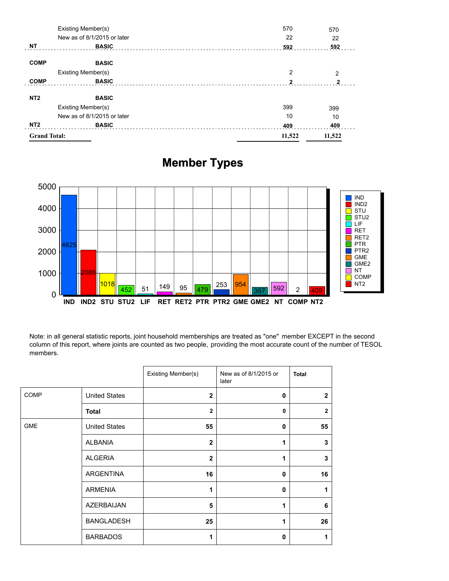| NT <sub>2</sub> | <b>BASIC</b>                | 409          | 409            |
|-----------------|-----------------------------|--------------|----------------|
|                 | New as of 8/1/2015 or later | 10           | 10             |
|                 | Existing Member(s)          | 399          | 399            |
| NT <sub>2</sub> | <b>BASIC</b>                |              |                |
| <b>COMP</b>     | <b>BASIC</b>                | $\mathbf{2}$ | $\mathbf{2}$   |
|                 | Existing Member(s)          | 2            | $\overline{2}$ |
| <b>COMP</b>     | <b>BASIC</b>                |              |                |
| <b>NT</b>       | <b>BASIC</b>                | 592          | 592            |
|                 | New as of 8/1/2015 or later | 22           | 22             |
|                 | Existing Member(s)          | 570          | 570            |

# **Member Types**



Note: in all general statistic reports, joint household memberships are treated as "one" member EXCEPT in the second column of this report, where joints are counted as two people, providing the most accurate count of the number of TESOL members.

|             |                      | Existing Member(s) | New as of 8/1/2015 or<br>later | <b>Total</b>   |
|-------------|----------------------|--------------------|--------------------------------|----------------|
| <b>COMP</b> | <b>United States</b> | $\mathbf{2}$       | 0                              | $\overline{2}$ |
|             | <b>Total</b>         | $\overline{2}$     | $\mathbf{0}$                   | $\overline{2}$ |
| <b>GME</b>  | <b>United States</b> | 55                 | 0                              | 55             |
|             | ALBANIA              | $\mathbf{2}$       | 1                              | 3              |
|             | <b>ALGERIA</b>       | $\mathbf{2}$       | 1                              | 3              |
|             | <b>ARGENTINA</b>     | 16                 | 0                              | 16             |
|             | <b>ARMENIA</b>       | 1                  | $\mathbf 0$                    | 1              |
|             | AZERBAIJAN           | 5                  | 1                              | 6              |
|             | <b>BANGLADESH</b>    | 25                 | 1                              | 26             |
|             | <b>BARBADOS</b>      | 1                  | 0                              | 1              |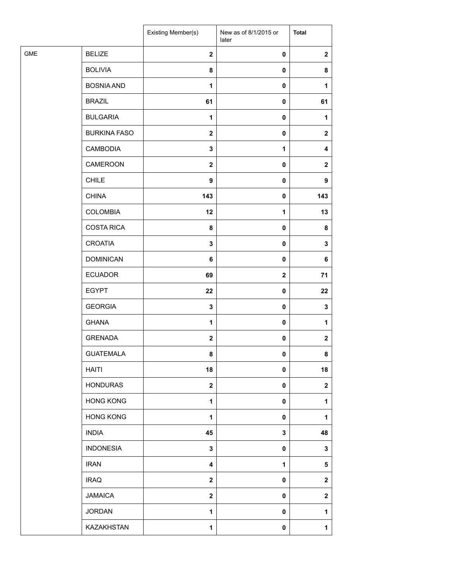|            |                     | Existing Member(s)      | New as of 8/1/2015 or<br>later | <b>Total</b>     |
|------------|---------------------|-------------------------|--------------------------------|------------------|
| <b>GME</b> | <b>BELIZE</b>       | $\mathbf{2}$            | $\pmb{0}$                      | $\mathbf{2}$     |
|            | <b>BOLIVIA</b>      | 8                       | $\pmb{0}$                      | 8                |
|            | <b>BOSNIA AND</b>   | $\mathbf{1}$            | $\pmb{0}$                      | 1                |
|            | <b>BRAZIL</b>       | 61                      | $\pmb{0}$                      | 61               |
|            | <b>BULGARIA</b>     | $\mathbf{1}$            | $\pmb{0}$                      | 1                |
|            | <b>BURKINA FASO</b> | $\mathbf{2}$            | $\pmb{0}$                      | $\mathbf{2}$     |
|            | <b>CAMBODIA</b>     | $\mathbf 3$             | $\mathbf{1}$                   | 4                |
|            | CAMEROON            | $\mathbf{2}$            | $\pmb{0}$                      | $\mathbf{2}$     |
|            | <b>CHILE</b>        | $\boldsymbol{9}$        | $\pmb{0}$                      | 9                |
|            | <b>CHINA</b>        | 143                     | 0                              | 143              |
|            | <b>COLOMBIA</b>     | 12                      | $\mathbf{1}$                   | 13               |
|            | <b>COSTA RICA</b>   | 8                       | $\pmb{0}$                      | 8                |
|            | <b>CROATIA</b>      | $\mathbf 3$             | $\pmb{0}$                      | 3                |
|            | <b>DOMINICAN</b>    | 6                       | $\pmb{0}$                      | 6                |
|            | <b>ECUADOR</b>      | 69                      | $\mathbf{2}$                   | 71               |
|            | <b>EGYPT</b>        | 22                      | $\pmb{0}$                      | 22               |
|            | <b>GEORGIA</b>      | $\mathbf 3$             | $\pmb{0}$                      | $\mathbf 3$      |
|            | <b>GHANA</b>        | $\mathbf{1}$            | $\pmb{0}$                      | 1                |
|            | <b>GRENADA</b>      | $\mathbf{2}$            | $\pmb{0}$                      | $\mathbf 2$      |
|            | <b>GUATEMALA</b>    | 8                       | 0                              | 8                |
|            | <b>HAITI</b>        | 18                      | $\pmb{0}$                      | 18               |
|            | <b>HONDURAS</b>     | $\boldsymbol{2}$        | $\pmb{0}$                      | $\boldsymbol{2}$ |
|            | <b>HONG KONG</b>    | 1                       | $\pmb{0}$                      | 1                |
|            | <b>HONG KONG</b>    | $\mathbf{1}$            | $\pmb{0}$                      | 1                |
|            | <b>INDIA</b>        | 45                      | 3                              | 48               |
|            | <b>INDONESIA</b>    | 3                       | $\pmb{0}$                      | 3                |
|            | <b>IRAN</b>         | $\overline{\mathbf{4}}$ | 1                              | 5                |
|            | <b>IRAQ</b>         | $\boldsymbol{2}$        | $\pmb{0}$                      | $\boldsymbol{2}$ |
|            | <b>JAMAICA</b>      | $\mathbf{2}$            | $\pmb{0}$                      | $\boldsymbol{2}$ |
|            | <b>JORDAN</b>       | $\mathbf{1}$            | 0                              | 1                |
|            | KAZAKHSTAN          | $\mathbf{1}$            | $\pmb{0}$                      | 1                |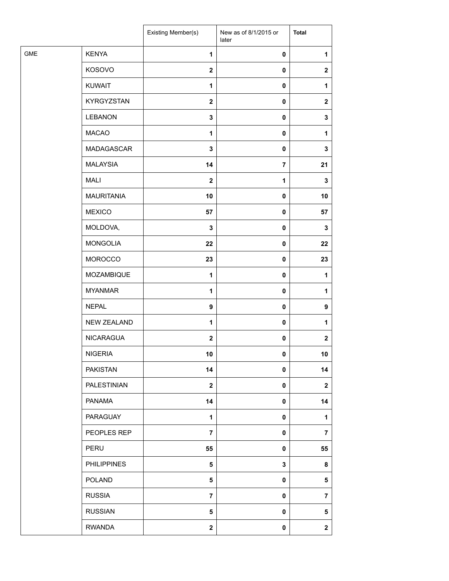| <b>KENYA</b><br>$\mathbf{1}$<br>$\pmb{0}$<br>1<br>KOSOVO<br>$\boldsymbol{2}$<br>$\pmb{0}$<br>$\mathbf{2}$<br><b>KUWAIT</b><br>1<br>$\pmb{0}$<br>1<br>KYRGYZSTAN<br>$\mathbf{2}$<br>$\pmb{0}$<br>$\boldsymbol{2}$<br><b>LEBANON</b><br>3<br>0<br>3<br><b>MACAO</b><br>1<br>$\pmb{0}$<br>1<br>MADAGASCAR<br>$\mathbf 3$<br>$\pmb{0}$<br>3<br><b>MALAYSIA</b><br>$\overline{7}$<br>14<br>21<br><b>MALI</b><br>$\boldsymbol{2}$<br>1<br>3<br><b>MAURITANIA</b><br>10<br>$\pmb{0}$<br>10<br><b>MEXICO</b><br>57<br>$\pmb{0}$<br>57<br>MOLDOVA,<br>$\mathbf 3$<br>$\pmb{0}$<br>3<br><b>MONGOLIA</b><br>22<br>22<br>$\pmb{0}$<br><b>MOROCCO</b><br>23<br>$\pmb{0}$<br>23<br>MOZAMBIQUE<br>1<br>$\pmb{0}$<br>1<br><b>MYANMAR</b><br>1<br>$\pmb{0}$<br>1<br><b>NEPAL</b><br>9<br>$\pmb{0}$<br>9<br><b>NEW ZEALAND</b><br>1<br>$\pmb{0}$<br>1<br><b>NICARAGUA</b><br>$\mathbf{2}$<br>$\pmb{0}$<br>$\mathbf{2}$<br><b>NIGERIA</b><br>10<br>$\mathbf 0$<br>10<br><b>PAKISTAN</b><br>14<br>$\pmb{0}$<br>14<br>PALESTINIAN<br>$\overline{\mathbf{2}}$<br>$\pmb{0}$<br>$\mathbf{2}$<br><b>PANAMA</b><br>14<br>$\pmb{0}$<br>14<br>PARAGUAY<br>$\mathbf{1}$<br>$\pmb{0}$<br>1<br>PEOPLES REP<br>$\overline{7}$<br>$\pmb{0}$<br>7<br>PERU<br>55<br>55<br>0<br><b>PHILIPPINES</b><br>$\overline{\mathbf{5}}$<br>3<br>8<br><b>POLAND</b><br>5<br>$\pmb{0}$<br>$\sqrt{5}$<br><b>RUSSIA</b><br>$\overline{7}$<br>$\pmb{0}$<br>$\overline{7}$<br><b>RUSSIAN</b><br>5<br>$\pmb{0}$<br>5<br><b>RWANDA</b><br>$\overline{\mathbf{2}}$<br>$\pmb{0}$<br>$\boldsymbol{2}$ |            | Existing Member(s) | New as of 8/1/2015 or<br>later | <b>Total</b> |
|----------------------------------------------------------------------------------------------------------------------------------------------------------------------------------------------------------------------------------------------------------------------------------------------------------------------------------------------------------------------------------------------------------------------------------------------------------------------------------------------------------------------------------------------------------------------------------------------------------------------------------------------------------------------------------------------------------------------------------------------------------------------------------------------------------------------------------------------------------------------------------------------------------------------------------------------------------------------------------------------------------------------------------------------------------------------------------------------------------------------------------------------------------------------------------------------------------------------------------------------------------------------------------------------------------------------------------------------------------------------------------------------------------------------------------------------------------------------------------------------------------------------------------------------|------------|--------------------|--------------------------------|--------------|
|                                                                                                                                                                                                                                                                                                                                                                                                                                                                                                                                                                                                                                                                                                                                                                                                                                                                                                                                                                                                                                                                                                                                                                                                                                                                                                                                                                                                                                                                                                                                              | <b>GME</b> |                    |                                |              |
|                                                                                                                                                                                                                                                                                                                                                                                                                                                                                                                                                                                                                                                                                                                                                                                                                                                                                                                                                                                                                                                                                                                                                                                                                                                                                                                                                                                                                                                                                                                                              |            |                    |                                |              |
|                                                                                                                                                                                                                                                                                                                                                                                                                                                                                                                                                                                                                                                                                                                                                                                                                                                                                                                                                                                                                                                                                                                                                                                                                                                                                                                                                                                                                                                                                                                                              |            |                    |                                |              |
|                                                                                                                                                                                                                                                                                                                                                                                                                                                                                                                                                                                                                                                                                                                                                                                                                                                                                                                                                                                                                                                                                                                                                                                                                                                                                                                                                                                                                                                                                                                                              |            |                    |                                |              |
|                                                                                                                                                                                                                                                                                                                                                                                                                                                                                                                                                                                                                                                                                                                                                                                                                                                                                                                                                                                                                                                                                                                                                                                                                                                                                                                                                                                                                                                                                                                                              |            |                    |                                |              |
|                                                                                                                                                                                                                                                                                                                                                                                                                                                                                                                                                                                                                                                                                                                                                                                                                                                                                                                                                                                                                                                                                                                                                                                                                                                                                                                                                                                                                                                                                                                                              |            |                    |                                |              |
|                                                                                                                                                                                                                                                                                                                                                                                                                                                                                                                                                                                                                                                                                                                                                                                                                                                                                                                                                                                                                                                                                                                                                                                                                                                                                                                                                                                                                                                                                                                                              |            |                    |                                |              |
|                                                                                                                                                                                                                                                                                                                                                                                                                                                                                                                                                                                                                                                                                                                                                                                                                                                                                                                                                                                                                                                                                                                                                                                                                                                                                                                                                                                                                                                                                                                                              |            |                    |                                |              |
|                                                                                                                                                                                                                                                                                                                                                                                                                                                                                                                                                                                                                                                                                                                                                                                                                                                                                                                                                                                                                                                                                                                                                                                                                                                                                                                                                                                                                                                                                                                                              |            |                    |                                |              |
|                                                                                                                                                                                                                                                                                                                                                                                                                                                                                                                                                                                                                                                                                                                                                                                                                                                                                                                                                                                                                                                                                                                                                                                                                                                                                                                                                                                                                                                                                                                                              |            |                    |                                |              |
|                                                                                                                                                                                                                                                                                                                                                                                                                                                                                                                                                                                                                                                                                                                                                                                                                                                                                                                                                                                                                                                                                                                                                                                                                                                                                                                                                                                                                                                                                                                                              |            |                    |                                |              |
|                                                                                                                                                                                                                                                                                                                                                                                                                                                                                                                                                                                                                                                                                                                                                                                                                                                                                                                                                                                                                                                                                                                                                                                                                                                                                                                                                                                                                                                                                                                                              |            |                    |                                |              |
|                                                                                                                                                                                                                                                                                                                                                                                                                                                                                                                                                                                                                                                                                                                                                                                                                                                                                                                                                                                                                                                                                                                                                                                                                                                                                                                                                                                                                                                                                                                                              |            |                    |                                |              |
|                                                                                                                                                                                                                                                                                                                                                                                                                                                                                                                                                                                                                                                                                                                                                                                                                                                                                                                                                                                                                                                                                                                                                                                                                                                                                                                                                                                                                                                                                                                                              |            |                    |                                |              |
|                                                                                                                                                                                                                                                                                                                                                                                                                                                                                                                                                                                                                                                                                                                                                                                                                                                                                                                                                                                                                                                                                                                                                                                                                                                                                                                                                                                                                                                                                                                                              |            |                    |                                |              |
|                                                                                                                                                                                                                                                                                                                                                                                                                                                                                                                                                                                                                                                                                                                                                                                                                                                                                                                                                                                                                                                                                                                                                                                                                                                                                                                                                                                                                                                                                                                                              |            |                    |                                |              |
|                                                                                                                                                                                                                                                                                                                                                                                                                                                                                                                                                                                                                                                                                                                                                                                                                                                                                                                                                                                                                                                                                                                                                                                                                                                                                                                                                                                                                                                                                                                                              |            |                    |                                |              |
|                                                                                                                                                                                                                                                                                                                                                                                                                                                                                                                                                                                                                                                                                                                                                                                                                                                                                                                                                                                                                                                                                                                                                                                                                                                                                                                                                                                                                                                                                                                                              |            |                    |                                |              |
|                                                                                                                                                                                                                                                                                                                                                                                                                                                                                                                                                                                                                                                                                                                                                                                                                                                                                                                                                                                                                                                                                                                                                                                                                                                                                                                                                                                                                                                                                                                                              |            |                    |                                |              |
|                                                                                                                                                                                                                                                                                                                                                                                                                                                                                                                                                                                                                                                                                                                                                                                                                                                                                                                                                                                                                                                                                                                                                                                                                                                                                                                                                                                                                                                                                                                                              |            |                    |                                |              |
|                                                                                                                                                                                                                                                                                                                                                                                                                                                                                                                                                                                                                                                                                                                                                                                                                                                                                                                                                                                                                                                                                                                                                                                                                                                                                                                                                                                                                                                                                                                                              |            |                    |                                |              |
|                                                                                                                                                                                                                                                                                                                                                                                                                                                                                                                                                                                                                                                                                                                                                                                                                                                                                                                                                                                                                                                                                                                                                                                                                                                                                                                                                                                                                                                                                                                                              |            |                    |                                |              |
|                                                                                                                                                                                                                                                                                                                                                                                                                                                                                                                                                                                                                                                                                                                                                                                                                                                                                                                                                                                                                                                                                                                                                                                                                                                                                                                                                                                                                                                                                                                                              |            |                    |                                |              |
|                                                                                                                                                                                                                                                                                                                                                                                                                                                                                                                                                                                                                                                                                                                                                                                                                                                                                                                                                                                                                                                                                                                                                                                                                                                                                                                                                                                                                                                                                                                                              |            |                    |                                |              |
|                                                                                                                                                                                                                                                                                                                                                                                                                                                                                                                                                                                                                                                                                                                                                                                                                                                                                                                                                                                                                                                                                                                                                                                                                                                                                                                                                                                                                                                                                                                                              |            |                    |                                |              |
|                                                                                                                                                                                                                                                                                                                                                                                                                                                                                                                                                                                                                                                                                                                                                                                                                                                                                                                                                                                                                                                                                                                                                                                                                                                                                                                                                                                                                                                                                                                                              |            |                    |                                |              |
|                                                                                                                                                                                                                                                                                                                                                                                                                                                                                                                                                                                                                                                                                                                                                                                                                                                                                                                                                                                                                                                                                                                                                                                                                                                                                                                                                                                                                                                                                                                                              |            |                    |                                |              |
|                                                                                                                                                                                                                                                                                                                                                                                                                                                                                                                                                                                                                                                                                                                                                                                                                                                                                                                                                                                                                                                                                                                                                                                                                                                                                                                                                                                                                                                                                                                                              |            |                    |                                |              |
|                                                                                                                                                                                                                                                                                                                                                                                                                                                                                                                                                                                                                                                                                                                                                                                                                                                                                                                                                                                                                                                                                                                                                                                                                                                                                                                                                                                                                                                                                                                                              |            |                    |                                |              |
|                                                                                                                                                                                                                                                                                                                                                                                                                                                                                                                                                                                                                                                                                                                                                                                                                                                                                                                                                                                                                                                                                                                                                                                                                                                                                                                                                                                                                                                                                                                                              |            |                    |                                |              |
|                                                                                                                                                                                                                                                                                                                                                                                                                                                                                                                                                                                                                                                                                                                                                                                                                                                                                                                                                                                                                                                                                                                                                                                                                                                                                                                                                                                                                                                                                                                                              |            |                    |                                |              |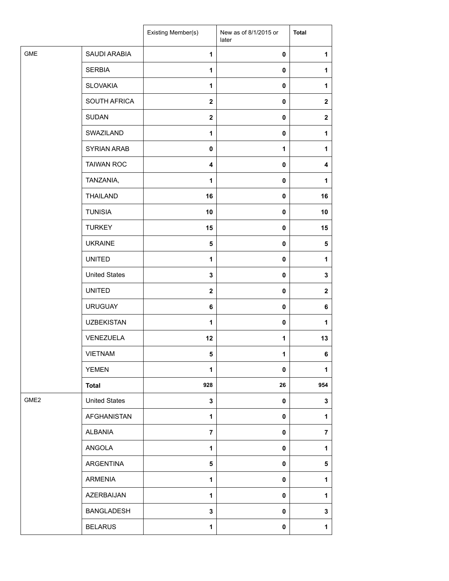|                  |                      | Existing Member(s)      | New as of 8/1/2015 or<br>later | <b>Total</b>   |
|------------------|----------------------|-------------------------|--------------------------------|----------------|
| <b>GME</b>       | SAUDI ARABIA         | $\mathbf{1}$            | 0                              | 1              |
|                  | <b>SERBIA</b>        | $\mathbf{1}$            | $\mathbf 0$                    | 1              |
|                  | <b>SLOVAKIA</b>      | $\mathbf{1}$            | 0                              | 1              |
|                  | SOUTH AFRICA         | $\mathbf 2$             | 0                              | $\mathbf{2}$   |
|                  | <b>SUDAN</b>         | $\overline{\mathbf{2}}$ | 0                              | $\mathbf{2}$   |
|                  | SWAZILAND            | $\mathbf{1}$            | 0                              | 1              |
|                  | <b>SYRIAN ARAB</b>   | $\mathbf 0$             | 1                              | 1              |
|                  | <b>TAIWAN ROC</b>    | $\overline{\mathbf{4}}$ | 0                              | 4              |
|                  | TANZANIA,            | 1                       | 0                              | 1              |
|                  | <b>THAILAND</b>      | 16                      | 0                              | 16             |
|                  | <b>TUNISIA</b>       | 10                      | 0                              | 10             |
|                  | <b>TURKEY</b>        | 15                      | 0                              | 15             |
|                  | <b>UKRAINE</b>       | 5                       | $\mathbf 0$                    | 5              |
|                  | <b>UNITED</b>        | $\mathbf{1}$            | $\mathbf 0$                    | 1              |
|                  | <b>United States</b> | 3                       | 0                              | 3              |
|                  | <b>UNITED</b>        | $\mathbf 2$             | 0                              | $\mathbf{2}$   |
|                  | <b>URUGUAY</b>       | 6                       | 0                              | 6              |
|                  | <b>UZBEKISTAN</b>    | $\mathbf{1}$            | 0                              | 1              |
|                  | VENEZUELA            | 12                      | 1                              | 13             |
|                  | VIETNAM              | 5                       | 1                              | 6              |
|                  | <b>YEMEN</b>         | 1                       | 0                              | 1              |
|                  | <b>Total</b>         | 928                     | 26                             | 954            |
| GME <sub>2</sub> | <b>United States</b> | 3                       | 0                              | 3              |
|                  | <b>AFGHANISTAN</b>   | $\mathbf{1}$            | 0                              | $\mathbf{1}$   |
|                  | <b>ALBANIA</b>       | $\overline{7}$          | 0                              | $\overline{7}$ |
|                  | ANGOLA               | 1                       | 0                              | $\mathbf{1}$   |
|                  | ARGENTINA            | 5                       | 0                              | 5              |
|                  | <b>ARMENIA</b>       | 1                       | 0                              | 1              |
|                  | AZERBAIJAN           | $\mathbf{1}$            | 0                              | $\mathbf{1}$   |
|                  | <b>BANGLADESH</b>    | 3                       | 0                              | 3              |
|                  | <b>BELARUS</b>       | 1                       | 0                              | $\mathbf 1$    |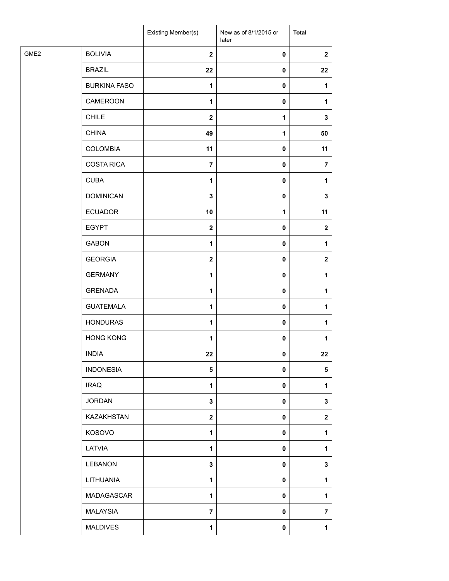|                  |                     | Existing Member(s) | New as of 8/1/2015 or<br>later | <b>Total</b>   |
|------------------|---------------------|--------------------|--------------------------------|----------------|
| GME <sub>2</sub> | <b>BOLIVIA</b>      | $\mathbf{2}$       | $\pmb{0}$                      | $\mathbf{2}$   |
|                  | <b>BRAZIL</b>       | 22                 | $\pmb{0}$                      | 22             |
|                  | <b>BURKINA FASO</b> | 1                  | $\pmb{0}$                      | 1              |
|                  | <b>CAMEROON</b>     | 1                  | $\pmb{0}$                      | 1              |
| <b>CHILE</b>     |                     | $\boldsymbol{2}$   | 1                              | 3              |
| <b>CHINA</b>     |                     | 49                 | $\mathbf{1}$                   | 50             |
|                  | <b>COLOMBIA</b>     | 11                 | $\pmb{0}$                      | 11             |
|                  | <b>COSTA RICA</b>   | $\overline{7}$     | $\pmb{0}$                      | $\overline{7}$ |
| <b>CUBA</b>      |                     | 1                  | $\pmb{0}$                      | 1              |
|                  | <b>DOMINICAN</b>    | $\mathbf 3$        | $\pmb{0}$                      | 3              |
|                  | <b>ECUADOR</b>      | 10                 | $\mathbf{1}$                   | 11             |
|                  | <b>EGYPT</b>        | $\mathbf{2}$       | $\pmb{0}$                      | $\mathbf{2}$   |
|                  | <b>GABON</b>        | $\mathbf{1}$       | $\pmb{0}$                      | 1              |
|                  | <b>GEORGIA</b>      | $\boldsymbol{2}$   | $\pmb{0}$                      | $\mathbf{2}$   |
|                  | <b>GERMANY</b>      | 1                  | $\pmb{0}$                      | 1              |
|                  | <b>GRENADA</b>      | $\mathbf{1}$       | $\pmb{0}$                      | 1              |
|                  | <b>GUATEMALA</b>    | $\mathbf{1}$       | $\pmb{0}$                      | 1              |
|                  | <b>HONDURAS</b>     | 1                  | $\pmb{0}$                      | 1              |
|                  | <b>HONG KONG</b>    | $\mathbf{1}$       | $\pmb{0}$                      | 1              |
| <b>INDIA</b>     |                     | 22                 | $\mathbf 0$                    | 22             |
|                  | <b>INDONESIA</b>    | 5                  | $\pmb{0}$                      | 5              |
| <b>IRAQ</b>      |                     | $\mathbf{1}$       | $\pmb{0}$                      | 1              |
|                  | <b>JORDAN</b>       | 3                  | $\pmb{0}$                      | 3              |
|                  | KAZAKHSTAN          | $\mathbf 2$        | $\pmb{0}$                      | $\mathbf{2}$   |
|                  | KOSOVO              | $\mathbf{1}$       | $\pmb{0}$                      | 1              |
|                  | LATVIA              | 1                  | 0                              | 1              |
|                  | <b>LEBANON</b>      | $\mathbf 3$        | $\pmb{0}$                      | 3              |
|                  | LITHUANIA           | $\mathbf{1}$       | $\pmb{0}$                      | 1              |
|                  | MADAGASCAR          | $\mathbf{1}$       | $\pmb{0}$                      | 1              |
|                  | <b>MALAYSIA</b>     | $\overline{7}$     | $\pmb{0}$                      | 7              |
|                  | <b>MALDIVES</b>     | $\mathbf{1}$       | $\pmb{0}$                      | 1              |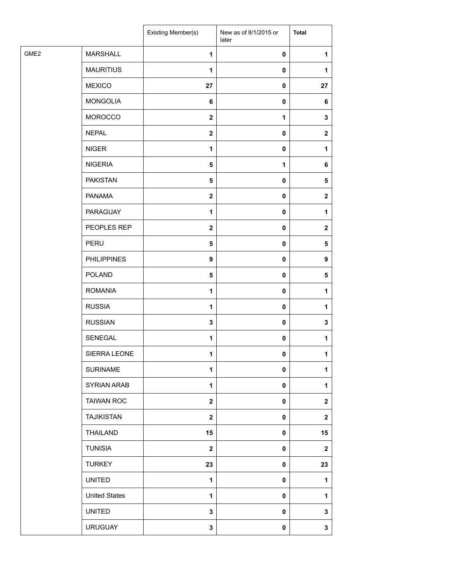|                                     | Existing Member(s)      | New as of 8/1/2015 or<br>later | <b>Total</b> |
|-------------------------------------|-------------------------|--------------------------------|--------------|
| GME <sub>2</sub><br><b>MARSHALL</b> | $\mathbf{1}$            | 0                              | 1            |
| <b>MAURITIUS</b>                    | $\mathbf{1}$            | 0                              | 1            |
| <b>MEXICO</b>                       | 27                      | 0                              | 27           |
| <b>MONGOLIA</b>                     | 6                       | 0                              | 6            |
| MOROCCO                             | $\mathbf{2}$            | 1                              | 3            |
| <b>NEPAL</b>                        | $\mathbf 2$             | 0                              | $\mathbf{2}$ |
| <b>NIGER</b>                        | $\mathbf{1}$            | 0                              | 1            |
| <b>NIGERIA</b>                      | 5                       | 1                              | 6            |
| <b>PAKISTAN</b>                     | $\sqrt{5}$              | 0                              | $\sqrt{5}$   |
| <b>PANAMA</b>                       | $\overline{\mathbf{2}}$ | 0                              | $\mathbf{2}$ |
| PARAGUAY                            | 1                       | 0                              | 1            |
| PEOPLES REP                         | $\overline{\mathbf{2}}$ | 0                              | $\mathbf{2}$ |
| PERU                                | $\sqrt{5}$              | 0                              | $\sqrt{5}$   |
| <b>PHILIPPINES</b>                  | 9                       | $\pmb{0}$                      | 9            |
| <b>POLAND</b>                       | $\sqrt{5}$              | 0                              | 5            |
| <b>ROMANIA</b>                      | $\mathbf{1}$            | 0                              | 1            |
| <b>RUSSIA</b>                       | $\mathbf{1}$            | 0                              | 1            |
| <b>RUSSIAN</b>                      | $\mathbf 3$             | 0                              | 3            |
| SENEGAL                             | $\mathbf{1}$            | $\pmb{0}$                      | 1            |
| SIERRA LEONE                        | 1                       | $\mathbf{0}$                   | 1            |
| <b>SURINAME</b>                     | 1                       | 0                              | 1            |
| <b>SYRIAN ARAB</b>                  | $\mathbf{1}$            | 0                              | 1            |
| <b>TAIWAN ROC</b>                   | $\mathbf{2}$            | 0                              | $\mathbf 2$  |
| <b>TAJIKISTAN</b>                   | $\mathbf{2}$            | 0                              | $\mathbf 2$  |
| THAILAND                            | 15                      | 0                              | 15           |
| <b>TUNISIA</b>                      | $\mathbf{2}$            | 0                              | $\mathbf 2$  |
| <b>TURKEY</b>                       | 23                      | 0                              | 23           |
| <b>UNITED</b>                       | $\mathbf{1}$            | 0                              | $\mathbf{1}$ |
| <b>United States</b>                | 1                       | 0                              | 1            |
| <b>UNITED</b>                       | 3                       | 0                              | 3            |
| <b>URUGUAY</b>                      | $\mathbf 3$             | 0                              | 3            |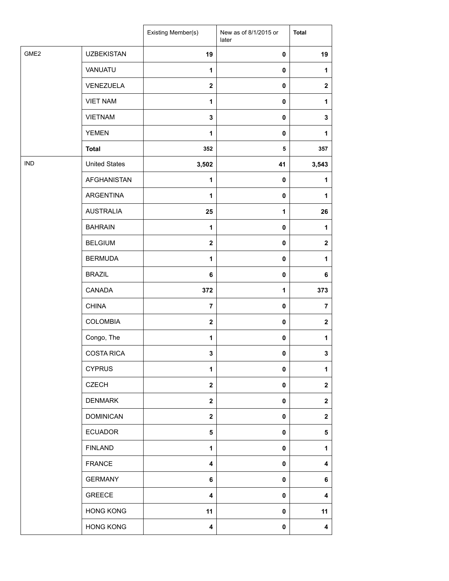|                  |                      | Existing Member(s)      | New as of 8/1/2015 or<br>later | <b>Total</b>   |
|------------------|----------------------|-------------------------|--------------------------------|----------------|
| GME <sub>2</sub> | <b>UZBEKISTAN</b>    | 19                      | $\pmb{0}$                      | 19             |
|                  | VANUATU              | 1                       | $\pmb{0}$                      | 1              |
|                  | VENEZUELA            | $\mathbf{2}$            | $\mathbf 0$                    | $\mathbf{2}$   |
|                  | <b>VIET NAM</b>      | 1                       | $\pmb{0}$                      | 1              |
|                  | <b>VIETNAM</b>       | $\mathbf 3$             | 0                              | 3              |
|                  | <b>YEMEN</b>         | 1                       | $\pmb{0}$                      | 1              |
|                  | <b>Total</b>         | 352                     | 5                              | 357            |
| <b>IND</b>       | <b>United States</b> | 3,502                   | 41                             | 3,543          |
|                  | <b>AFGHANISTAN</b>   | $\mathbf{1}$            | $\pmb{0}$                      | 1              |
|                  | <b>ARGENTINA</b>     | 1                       | $\pmb{0}$                      | 1              |
|                  | <b>AUSTRALIA</b>     | 25                      | 1                              | 26             |
|                  | <b>BAHRAIN</b>       | $\mathbf{1}$            | $\pmb{0}$                      | 1              |
|                  | <b>BELGIUM</b>       | $\boldsymbol{2}$        | 0                              | $\mathbf{2}$   |
|                  | <b>BERMUDA</b>       | 1                       | $\pmb{0}$                      | 1              |
|                  | <b>BRAZIL</b>        | 6                       | $\pmb{0}$                      | 6              |
|                  | CANADA               | 372                     | $\mathbf 1$                    | 373            |
|                  | <b>CHINA</b>         | $\overline{7}$          | $\pmb{0}$                      | $\overline{7}$ |
|                  | <b>COLOMBIA</b>      | $\mathbf{2}$            | $\pmb{0}$                      | $\mathbf{2}$   |
|                  | Congo, The           | 1                       | 0                              | 1              |
|                  | <b>COSTA RICA</b>    | 3                       | $\pmb{0}$                      | 3              |
|                  | <b>CYPRUS</b>        | 1                       | $\pmb{0}$                      | 1              |
|                  | <b>CZECH</b>         | $\mathbf{2}$            | $\mathbf 0$                    | $\mathbf{2}$   |
|                  | <b>DENMARK</b>       | $\boldsymbol{2}$        | 0                              | $\mathbf{2}$   |
|                  | <b>DOMINICAN</b>     | $\mathbf{2}$            | $\mathbf 0$                    | $\mathbf{2}$   |
|                  | <b>ECUADOR</b>       | 5                       | 0                              | 5              |
|                  | <b>FINLAND</b>       | 1                       | 0                              | 1              |
|                  | <b>FRANCE</b>        | $\overline{\mathbf{4}}$ | $\pmb{0}$                      | 4              |
|                  | <b>GERMANY</b>       | 6                       | 0                              | 6              |
|                  | <b>GREECE</b>        | $\overline{\mathbf{4}}$ | 0                              | 4              |
|                  | <b>HONG KONG</b>     | 11                      | 0                              | 11             |
|                  | <b>HONG KONG</b>     | 4                       | 0                              | 4              |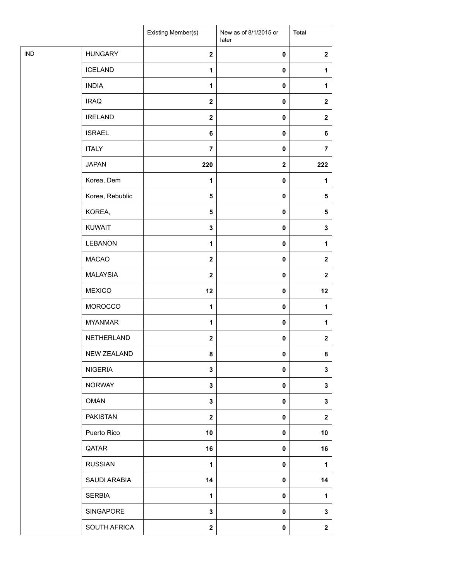|            |                    | Existing Member(s)      | New as of 8/1/2015 or<br>later | <b>Total</b>     |
|------------|--------------------|-------------------------|--------------------------------|------------------|
| <b>IND</b> | <b>HUNGARY</b>     | $\overline{\mathbf{2}}$ | 0                              | $\mathbf 2$      |
|            | <b>ICELAND</b>     | $\mathbf{1}$            | $\pmb{0}$                      | 1                |
|            | <b>INDIA</b>       | 1                       | $\pmb{0}$                      | 1                |
|            | <b>IRAQ</b>        | $\overline{\mathbf{2}}$ | $\pmb{0}$                      | $\mathbf 2$      |
|            | <b>IRELAND</b>     | $\boldsymbol{2}$        | 0                              | $\boldsymbol{2}$ |
|            | <b>ISRAEL</b>      | 6                       | $\pmb{0}$                      | 6                |
|            | <b>ITALY</b>       | $\overline{7}$          | $\pmb{0}$                      | $\overline{7}$   |
|            | <b>JAPAN</b>       | 220                     | $\mathbf 2$                    | 222              |
|            | Korea, Dem         | 1                       | $\pmb{0}$                      | 1                |
|            | Korea, Rebublic    | $\overline{\mathbf{5}}$ | 0                              | 5                |
|            | KOREA,             | $\overline{\mathbf{5}}$ | 0                              | 5                |
|            | <b>KUWAIT</b>      | $\mathbf 3$             | $\pmb{0}$                      | $\mathbf 3$      |
|            | <b>LEBANON</b>     | 1                       | $\pmb{0}$                      | 1                |
|            | <b>MACAO</b>       | $\overline{\mathbf{2}}$ | 0                              | $\mathbf{2}$     |
|            | <b>MALAYSIA</b>    | $\mathbf{2}$            | 0                              | $\mathbf{2}$     |
|            | <b>MEXICO</b>      | 12                      | 0                              | 12               |
|            | MOROCCO            | $\mathbf{1}$            | $\pmb{0}$                      | 1                |
|            | <b>MYANMAR</b>     | 1                       | $\pmb{0}$                      | 1                |
|            | NETHERLAND         | $\boldsymbol{2}$        | $\pmb{0}$                      | $\mathbf 2$      |
|            | <b>NEW ZEALAND</b> | 8                       | 0                              | 8                |
|            | <b>NIGERIA</b>     | $\mathbf 3$             | 0                              | 3                |
|            | <b>NORWAY</b>      | $\mathbf 3$             | 0                              | 3                |
|            | <b>OMAN</b>        | 3                       | 0                              | $\mathbf{3}$     |
|            | <b>PAKISTAN</b>    | $\mathbf{2}$            | 0                              | $\mathbf 2$      |
|            | Puerto Rico        | 10                      | $\pmb{0}$                      | 10               |
|            | QATAR              | 16                      | 0                              | 16               |
|            | <b>RUSSIAN</b>     | 1                       | 0                              | 1                |
|            | SAUDI ARABIA       | 14                      | 0                              | 14               |
|            | <b>SERBIA</b>      | $\mathbf{1}$            | 0                              | 1                |
|            | SINGAPORE          | 3                       | 0                              | 3                |
|            | SOUTH AFRICA       | $\mathbf 2$             | 0                              | $\mathbf 2$      |
|            |                    |                         |                                |                  |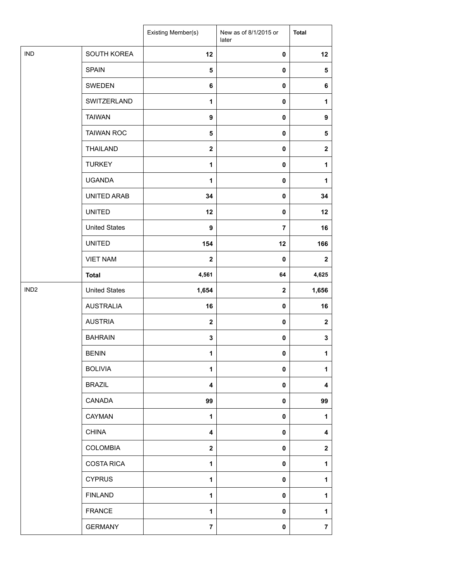|                  |                      | Existing Member(s) | New as of 8/1/2015 or<br>later | <b>Total</b>            |
|------------------|----------------------|--------------------|--------------------------------|-------------------------|
| <b>IND</b>       | SOUTH KOREA          | 12                 | $\pmb{0}$                      | 12                      |
|                  | <b>SPAIN</b>         | 5                  | $\mathbf 0$                    | ${\bf 5}$               |
|                  | SWEDEN               | 6                  | 0                              | 6                       |
|                  | SWITZERLAND          | 1                  | 0                              | 1                       |
|                  | <b>TAIWAN</b>        | 9                  | 0                              | $\boldsymbol{9}$        |
|                  | <b>TAIWAN ROC</b>    | 5                  | 0                              | ${\bf 5}$               |
|                  | <b>THAILAND</b>      | $\mathbf{2}$       | $\pmb{0}$                      | $\overline{\mathbf{2}}$ |
|                  | <b>TURKEY</b>        | 1                  | $\mathbf 0$                    | 1                       |
|                  | <b>UGANDA</b>        | 1                  | $\mathbf 0$                    | 1                       |
|                  | UNITED ARAB          | 34                 | 0                              | 34                      |
|                  | <b>UNITED</b>        | 12                 | $\pmb{0}$                      | 12                      |
|                  | <b>United States</b> | $\boldsymbol{9}$   | $\overline{7}$                 | 16                      |
|                  | <b>UNITED</b>        | 154                | 12                             | 166                     |
|                  | <b>VIET NAM</b>      | $\mathbf{2}$       | $\mathbf 0$                    | $\mathbf{2}$            |
|                  | <b>Total</b>         | 4,561              | 64                             | 4,625                   |
| IND <sub>2</sub> | <b>United States</b> | 1,654              | $\mathbf{2}$                   | 1,656                   |
|                  | <b>AUSTRALIA</b>     | 16                 | 0                              | 16                      |
|                  | <b>AUSTRIA</b>       | $\mathbf{2}$       | $\pmb{0}$                      | $\boldsymbol{2}$        |
|                  | <b>BAHRAIN</b>       | 3                  | 0                              | $\mathbf 3$             |
|                  | <b>BENIN</b>         | 1                  | $\mathbf 0$                    | 1                       |
|                  | <b>BOLIVIA</b>       | $\mathbf{1}$       | $\mathbf 0$                    | 1                       |
|                  | <b>BRAZIL</b>        | 4                  | $\mathbf 0$                    | 4                       |
|                  | CANADA               | 99                 | $\mathbf 0$                    | 99                      |
|                  | CAYMAN               | 1                  | $\mathbf 0$                    | 1                       |
|                  | <b>CHINA</b>         | 4                  | 0                              | 4                       |
|                  | <b>COLOMBIA</b>      | $\mathbf{2}$       | 0                              | $\mathbf{2}$            |
|                  | <b>COSTA RICA</b>    | 1                  | 0                              | 1                       |
|                  | <b>CYPRUS</b>        | 1                  | $\mathbf 0$                    | 1                       |
|                  | <b>FINLAND</b>       | $\mathbf{1}$       | 0                              | 1                       |
|                  | <b>FRANCE</b>        | 1                  | 0                              | 1                       |
|                  | <b>GERMANY</b>       | $\overline{7}$     | 0                              | $\bf 7$                 |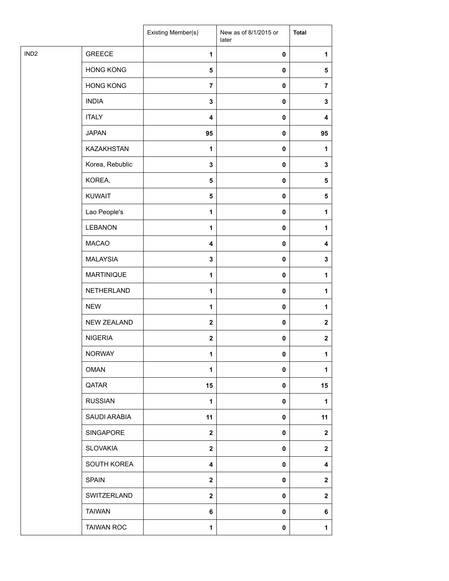|                  |                    | Existing Member(s)      | New as of 8/1/2015 or<br>later | <b>Total</b>     |
|------------------|--------------------|-------------------------|--------------------------------|------------------|
| IND <sub>2</sub> | <b>GREECE</b>      | $\mathbf{1}$            | $\pmb{0}$                      | 1                |
|                  | <b>HONG KONG</b>   | $\overline{\mathbf{5}}$ | $\pmb{0}$                      | 5                |
|                  | <b>HONG KONG</b>   | $\overline{7}$          | 0                              | $\overline{7}$   |
|                  | <b>INDIA</b>       | $\mathbf 3$             | 0                              | 3                |
|                  | <b>ITALY</b>       | 4                       | $\pmb{0}$                      | 4                |
|                  | <b>JAPAN</b>       | 95                      | 0                              | 95               |
|                  | KAZAKHSTAN         | $\mathbf{1}$            | $\pmb{0}$                      | 1                |
|                  | Korea, Rebublic    | $\mathbf 3$             | $\pmb{0}$                      | 3                |
|                  | KOREA,             | 5                       | 0                              | 5                |
|                  | <b>KUWAIT</b>      | $\overline{\mathbf{5}}$ | 0                              | $\sqrt{5}$       |
|                  | Lao People's       | $\mathbf 1$             | 0                              | 1                |
|                  | <b>LEBANON</b>     | $\mathbf{1}$            | 0                              | 1                |
|                  | <b>MACAO</b>       | 4                       | $\pmb{0}$                      | 4                |
|                  | <b>MALAYSIA</b>    | $\mathbf 3$             | 0                              | 3                |
|                  | <b>MARTINIQUE</b>  | $\mathbf 1$             | 0                              | $\mathbf{1}$     |
|                  | NETHERLAND         | $\mathbf 1$             | $\pmb{0}$                      | 1                |
|                  | <b>NEW</b>         | $\mathbf{1}$            | 0                              | 1                |
|                  | <b>NEW ZEALAND</b> | $\mathbf{2}$            | 0                              | $\boldsymbol{2}$ |
|                  | <b>NIGERIA</b>     | $\mathbf{2}$            | 0                              | $\mathbf 2$      |
|                  | <b>NORWAY</b>      | 1                       | $\mathbf 0$                    | 1                |
|                  | <b>OMAN</b>        | 1                       | 0                              | 1                |
|                  | QATAR              | 15                      | 0                              | 15               |
|                  | <b>RUSSIAN</b>     | $\mathbf{1}$            | $\mathbf 0$                    | 1                |
|                  | SAUDI ARABIA       | 11                      | 0                              | 11               |
|                  | SINGAPORE          | $\mathbf{2}$            | 0                              | $\mathbf 2$      |
|                  | <b>SLOVAKIA</b>    | $\mathbf{2}$            | 0                              | $\mathbf{2}$     |
|                  | SOUTH KOREA        | 4                       | 0                              | 4                |
|                  | <b>SPAIN</b>       | $\mathbf{2}$            | 0                              | $\mathbf{2}$     |
|                  | SWITZERLAND        | $\mathbf{2}$            | 0                              | $\mathbf{2}$     |
|                  | <b>TAIWAN</b>      | 6                       | 0                              | 6                |
|                  | <b>TAIWAN ROC</b>  | $\mathbf{1}$            | 0                              | $\mathbf{1}$     |
|                  |                    |                         |                                |                  |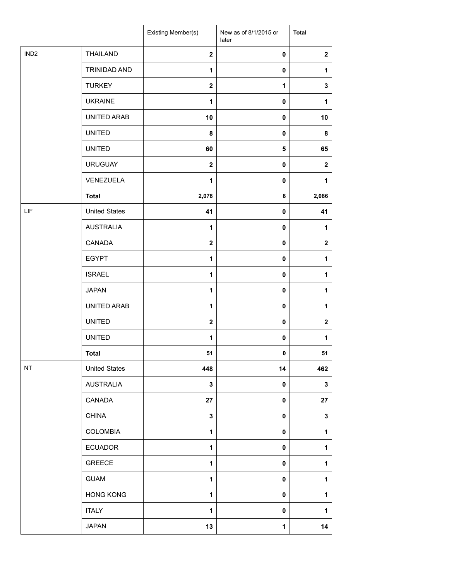|                  |                      | Existing Member(s) | New as of 8/1/2015 or<br>later | <b>Total</b>     |
|------------------|----------------------|--------------------|--------------------------------|------------------|
| IND <sub>2</sub> | <b>THAILAND</b>      | $\mathbf{2}$       | $\pmb{0}$                      | $\mathbf{2}$     |
|                  | TRINIDAD AND         | $\mathbf{1}$       | $\mathbf 0$                    | 1                |
|                  | <b>TURKEY</b>        | $\mathbf 2$        | $\mathbf{1}$                   | $\mathbf 3$      |
|                  | <b>UKRAINE</b>       | 1                  | $\mathbf 0$                    | 1                |
|                  | UNITED ARAB          | 10                 | $\pmb{0}$                      | 10               |
|                  | <b>UNITED</b>        | 8                  | $\pmb{0}$                      | 8                |
|                  | <b>UNITED</b>        | 60                 | ${\bf 5}$                      | 65               |
|                  | <b>URUGUAY</b>       | $\mathbf 2$        | $\pmb{0}$                      | $\boldsymbol{2}$ |
|                  | VENEZUELA            | 1                  | $\pmb{0}$                      | 1                |
|                  | <b>Total</b>         | 2,078              | 8                              | 2,086            |
| LIF              | <b>United States</b> | 41                 | $\mathbf 0$                    | 41               |
|                  | <b>AUSTRALIA</b>     | $\mathbf{1}$       | $\pmb{0}$                      | 1                |
|                  | CANADA               | $\mathbf 2$        | $\mathbf 0$                    | $\mathbf{2}$     |
|                  | <b>EGYPT</b>         | $\mathbf{1}$       | $\mathbf 0$                    | 1                |
|                  | <b>ISRAEL</b>        | $\mathbf{1}$       | $\pmb{0}$                      | 1                |
|                  | <b>JAPAN</b>         | 1                  | $\pmb{0}$                      | 1                |
|                  | UNITED ARAB          | $\mathbf{1}$       | $\pmb{0}$                      | 1                |
|                  | <b>UNITED</b>        | $\mathbf 2$        | $\mathbf 0$                    | $\boldsymbol{2}$ |
|                  | <b>UNITED</b>        | 1                  | $\pmb{0}$                      | 1                |
|                  | <b>Total</b>         | 51                 | 0                              | 51               |
| NT               | <b>United States</b> | 448                | 14                             | 462              |
|                  | <b>AUSTRALIA</b>     | 3                  | $\mathbf 0$                    | $\mathbf 3$      |
|                  | CANADA               | 27                 | $\mathbf 0$                    | 27               |
|                  | <b>CHINA</b>         | $\mathbf{3}$       | 0                              | $\mathbf 3$      |
|                  | COLOMBIA             | 1                  | $\pmb{0}$                      | 1                |
|                  | <b>ECUADOR</b>       | $\mathbf{1}$       | $\mathbf 0$                    | 1                |
|                  | <b>GREECE</b>        | $\mathbf{1}$       | $\mathbf 0$                    | 1                |
|                  | <b>GUAM</b>          | 1                  | $\mathbf 0$                    | 1                |
|                  | <b>HONG KONG</b>     | $\mathbf{1}$       | $\mathbf 0$                    | 1                |
|                  | <b>ITALY</b>         | 1                  | 0                              | 1                |
|                  | <b>JAPAN</b>         | 13                 | $\mathbf{1}$                   | 14               |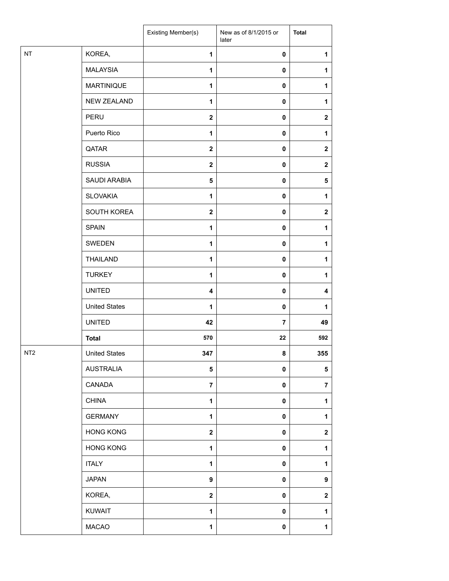|                 |                      | Existing Member(s)      | New as of 8/1/2015 or<br>later | <b>Total</b>            |
|-----------------|----------------------|-------------------------|--------------------------------|-------------------------|
| NT              | KOREA,               | 1                       | $\pmb{0}$                      | 1                       |
|                 | <b>MALAYSIA</b>      | $\mathbf{1}$            | $\pmb{0}$                      | 1                       |
|                 | <b>MARTINIQUE</b>    | $\mathbf{1}$            | $\pmb{0}$                      | 1                       |
|                 | NEW ZEALAND          | 1                       | $\pmb{0}$                      | 1                       |
|                 | PERU                 | $\mathbf 2$             | $\pmb{0}$                      | $\mathbf{2}$            |
|                 | Puerto Rico          | $\mathbf{1}$            | $\pmb{0}$                      | 1                       |
|                 | QATAR                | $\mathbf 2$             | $\pmb{0}$                      | $\mathbf{2}$            |
|                 | <b>RUSSIA</b>        | $\overline{\mathbf{2}}$ | $\pmb{0}$                      | $\mathbf{2}$            |
|                 | SAUDI ARABIA         | 5                       | $\pmb{0}$                      | 5                       |
|                 | <b>SLOVAKIA</b>      | 1                       | $\pmb{0}$                      | 1                       |
|                 | SOUTH KOREA          | $\overline{\mathbf{2}}$ | $\pmb{0}$                      | $\mathbf 2$             |
|                 | <b>SPAIN</b>         | $\mathbf{1}$            | $\pmb{0}$                      | 1                       |
|                 | SWEDEN               | 1                       | $\pmb{0}$                      | 1                       |
|                 | <b>THAILAND</b>      | $\mathbf{1}$            | $\pmb{0}$                      | 1                       |
|                 | <b>TURKEY</b>        | $\mathbf{1}$            | $\pmb{0}$                      | 1                       |
|                 | <b>UNITED</b>        | 4                       | $\pmb{0}$                      | 4                       |
|                 | <b>United States</b> | $\mathbf{1}$            | $\pmb{0}$                      | 1                       |
|                 | <b>UNITED</b>        | 42                      | $\overline{7}$                 | 49                      |
|                 | <b>Total</b>         | 570                     | 22                             | 592                     |
| NT <sub>2</sub> | <b>United States</b> | 347                     | 8                              | 355                     |
|                 | <b>AUSTRALIA</b>     | 5                       | 0                              | 5                       |
|                 | CANADA               | $\overline{7}$          | $\mathbf 0$                    | $\overline{\mathbf{7}}$ |
|                 | <b>CHINA</b>         | 1                       | $\pmb{0}$                      | 1                       |
|                 | <b>GERMANY</b>       | $\mathbf{1}$            | $\pmb{0}$                      | 1                       |
|                 | <b>HONG KONG</b>     | $\overline{\mathbf{2}}$ | 0                              | $\mathbf 2$             |
|                 | <b>HONG KONG</b>     | 1                       | $\pmb{0}$                      | 1                       |
|                 | <b>ITALY</b>         | 1                       | $\pmb{0}$                      | 1                       |
|                 | <b>JAPAN</b>         | 9                       | $\pmb{0}$                      | 9                       |
|                 | KOREA,               | $\overline{\mathbf{2}}$ | $\pmb{0}$                      | $\mathbf 2$             |
|                 | <b>KUWAIT</b>        | 1                       | 0                              | 1                       |
|                 | <b>MACAO</b>         | $\mathbf{1}$            | 0                              | $\mathbf{1}$            |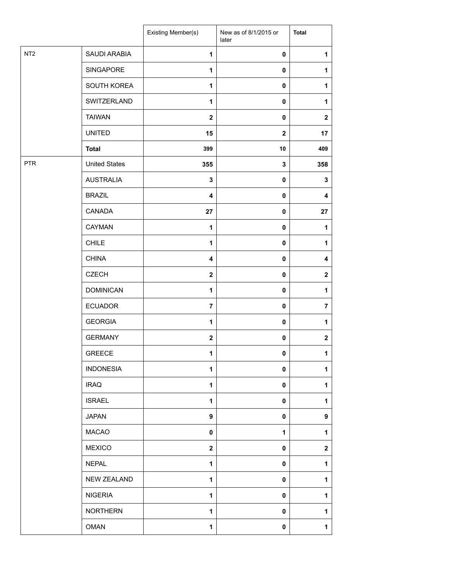|                 |                      | Existing Member(s)      | New as of 8/1/2015 or<br>later | <b>Total</b>   |
|-----------------|----------------------|-------------------------|--------------------------------|----------------|
| NT <sub>2</sub> | SAUDI ARABIA         | 1                       | $\pmb{0}$                      | 1              |
|                 | SINGAPORE            | $\mathbf{1}$            | $\pmb{0}$                      | 1              |
|                 | SOUTH KOREA          | 1                       | $\pmb{0}$                      | 1              |
|                 | SWITZERLAND          | $\mathbf{1}$            | $\mathbf 0$                    | 1              |
|                 | <b>TAIWAN</b>        | $\boldsymbol{2}$        | $\mathbf 0$                    | $\mathbf{2}$   |
|                 | <b>UNITED</b>        | 15                      | $\mathbf{2}$                   | 17             |
|                 | <b>Total</b>         | 399                     | 10                             | 409            |
| <b>PTR</b>      | <b>United States</b> | 355                     | $\mathbf 3$                    | 358            |
|                 | <b>AUSTRALIA</b>     | 3                       | $\pmb{0}$                      | 3              |
|                 | <b>BRAZIL</b>        | $\overline{\mathbf{4}}$ | $\pmb{0}$                      | 4              |
|                 | CANADA               | 27                      | $\mathbf 0$                    | 27             |
|                 | CAYMAN               | 1                       | $\pmb{0}$                      | 1              |
|                 | <b>CHILE</b>         | 1                       | $\pmb{0}$                      | 1              |
|                 | <b>CHINA</b>         | 4                       | 0                              | 4              |
|                 | <b>CZECH</b>         | $\boldsymbol{2}$        | $\pmb{0}$                      | $\mathbf 2$    |
|                 | <b>DOMINICAN</b>     | $\mathbf{1}$            | $\pmb{0}$                      | $\mathbf{1}$   |
|                 | <b>ECUADOR</b>       | $\overline{7}$          | $\pmb{0}$                      | $\overline{7}$ |
|                 | <b>GEORGIA</b>       | 1                       | $\mathbf 0$                    | 1              |
|                 | <b>GERMANY</b>       | $\mathbf 2$             | $\pmb{0}$                      | $\mathbf 2$    |
|                 | <b>GREECE</b>        | $\mathbf{1}$            | $\pmb{0}$                      | $\mathbf 1$    |
|                 | <b>INDONESIA</b>     | 1                       | $\pmb{0}$                      | 1              |
|                 | <b>IRAQ</b>          | $\mathbf{1}$            | $\pmb{0}$                      | 1              |
|                 | <b>ISRAEL</b>        | $\mathbf{1}$            | $\mathbf 0$                    | 1              |
|                 | <b>JAPAN</b>         | 9                       | $\mathbf 0$                    | 9              |
|                 | <b>MACAO</b>         | $\mathbf 0$             | 1                              | 1              |
|                 | <b>MEXICO</b>        | $\mathbf 2$             | 0                              | $\mathbf{2}$   |
|                 | <b>NEPAL</b>         | 1                       | $\pmb{0}$                      | 1              |
|                 | <b>NEW ZEALAND</b>   | $\mathbf{1}$            | $\pmb{0}$                      | 1              |
|                 | <b>NIGERIA</b>       | $\mathbf{1}$            | $\mathbf 0$                    | 1              |
|                 | <b>NORTHERN</b>      | $\mathbf{1}$            | $\mathbf 0$                    | $\mathbf{1}$   |
|                 | <b>OMAN</b>          | 1                       | $\mathbf 0$                    | 1              |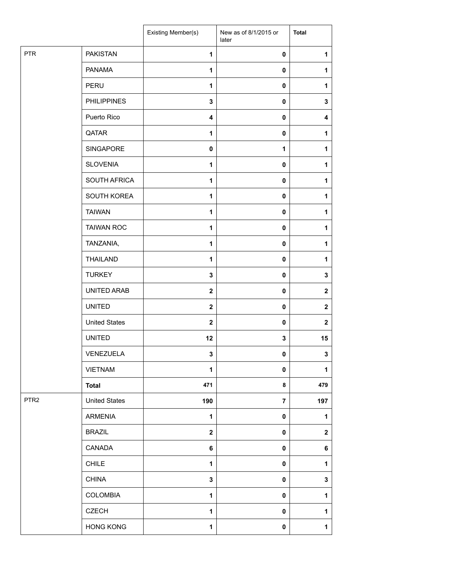|                  |                      | Existing Member(s)      | New as of 8/1/2015 or<br>later | <b>Total</b>     |
|------------------|----------------------|-------------------------|--------------------------------|------------------|
| <b>PTR</b>       | <b>PAKISTAN</b>      | $\mathbf{1}$            | 0                              | 1                |
|                  | <b>PANAMA</b>        | $\mathbf{1}$            | 0                              | 1                |
|                  | PERU                 | $\mathbf{1}$            | 0                              | 1                |
|                  | <b>PHILIPPINES</b>   | 3                       | 0                              | 3                |
|                  | Puerto Rico          | $\overline{\mathbf{4}}$ | 0                              | 4                |
|                  | QATAR                | $\mathbf{1}$            | $\mathbf 0$                    | 1                |
|                  | SINGAPORE            | $\mathbf 0$             | 1                              | $\mathbf{1}$     |
|                  | <b>SLOVENIA</b>      | 1                       | 0                              | $\mathbf{1}$     |
|                  | SOUTH AFRICA         | 1                       | 0                              | 1                |
|                  | SOUTH KOREA          | $\mathbf{1}$            | 0                              | $\mathbf{1}$     |
|                  | <b>TAIWAN</b>        | $\mathbf{1}$            | 0                              | 1                |
|                  | <b>TAIWAN ROC</b>    | $\mathbf{1}$            | $\pmb{0}$                      | $\mathbf{1}$     |
|                  | TANZANIA,            | 1                       | 0                              | 1                |
|                  | <b>THAILAND</b>      | $\mathbf{1}$            | 0                              | 1                |
|                  | <b>TURKEY</b>        | 3                       | 0                              | 3                |
|                  | UNITED ARAB          | $\boldsymbol{2}$        | 0                              | $\mathbf{2}$     |
|                  | <b>UNITED</b>        | $\mathbf{2}$            | $\pmb{0}$                      | $\mathbf{2}$     |
|                  | <b>United States</b> | $\mathbf{2}$            | 0                              | $\boldsymbol{2}$ |
|                  | <b>UNITED</b>        | 12                      | 3                              | 15               |
|                  | VENEZUELA            | $\mathbf 3$             | $\pmb{0}$                      | $\mathbf 3$      |
|                  | <b>VIETNAM</b>       | 1                       | 0                              | 1                |
|                  | <b>Total</b>         | 471                     | 8                              | 479              |
| PTR <sub>2</sub> | <b>United States</b> | 190                     | $\overline{7}$                 | 197              |
|                  | <b>ARMENIA</b>       | $\mathbf{1}$            | 0                              | $\mathbf{1}$     |
|                  | <b>BRAZIL</b>        | $\mathbf 2$             | 0                              | $\mathbf 2$      |
|                  | CANADA               | 6                       | 0                              | 6                |
|                  | <b>CHILE</b>         | $\mathbf{1}$            | 0                              | $\mathbf{1}$     |
|                  | <b>CHINA</b>         | 3                       | 0                              | 3                |
|                  | COLOMBIA             | $\mathbf{1}$            | 0                              | $\mathbf{1}$     |
|                  | <b>CZECH</b>         | 1                       | 0                              | $\mathbf{1}$     |
|                  | <b>HONG KONG</b>     | $\mathbf{1}$            | 0                              | $\mathbf 1$      |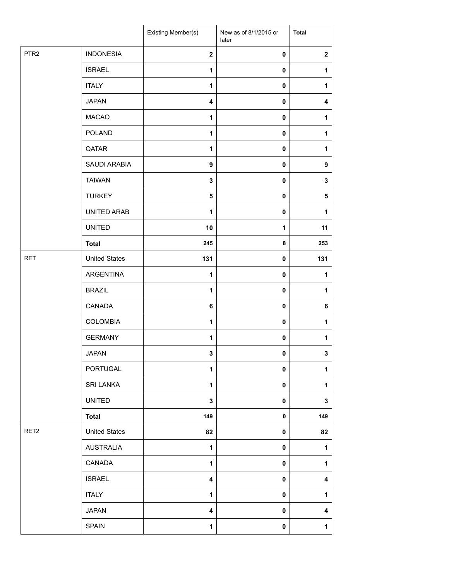|                  |                      | Existing Member(s)      | New as of 8/1/2015 or<br>later | <b>Total</b>            |
|------------------|----------------------|-------------------------|--------------------------------|-------------------------|
| PTR <sub>2</sub> | <b>INDONESIA</b>     | $\mathbf{2}$            | $\pmb{0}$                      | $\boldsymbol{2}$        |
|                  | <b>ISRAEL</b>        | $\mathbf{1}$            | 0                              | 1                       |
|                  | <b>ITALY</b>         | $\mathbf{1}$            | 0                              | $\mathbf{1}$            |
|                  | <b>JAPAN</b>         | $\overline{\mathbf{4}}$ | 0                              | 4                       |
|                  | <b>MACAO</b>         | $\mathbf{1}$            | 0                              | $\mathbf{1}$            |
|                  | <b>POLAND</b>        | $\mathbf{1}$            | 0                              | 1                       |
|                  | QATAR                | $\mathbf{1}$            | $\pmb{0}$                      | $\mathbf{1}$            |
|                  | SAUDI ARABIA         | 9                       | 0                              | $\boldsymbol{9}$        |
|                  | <b>TAIWAN</b>        | 3                       | 0                              | 3                       |
|                  | <b>TURKEY</b>        | 5                       | 0                              | 5                       |
|                  | UNITED ARAB          | 1                       | 0                              | 1                       |
|                  | <b>UNITED</b>        | 10                      | 1                              | 11                      |
|                  | <b>Total</b>         | 245                     | 8                              | 253                     |
| <b>RET</b>       | <b>United States</b> | 131                     | 0                              | 131                     |
|                  | ARGENTINA            | 1                       | 0                              | 1                       |
|                  | <b>BRAZIL</b>        | $\mathbf{1}$            | 0                              | $\mathbf 1$             |
|                  | CANADA               | 6                       | 0                              | 6                       |
|                  | <b>COLOMBIA</b>      | 1                       | 0                              | 1                       |
|                  | <b>GERMANY</b>       | 1                       | 0                              | $\mathbf 1$             |
|                  | <b>JAPAN</b>         | 3                       | 0                              | $\overline{3}$          |
|                  | PORTUGAL             | $\mathbf{1}$            | $\pmb{0}$                      | $\mathbf{1}$            |
|                  | <b>SRI LANKA</b>     | $\mathbf{1}$            | $\pmb{0}$                      | $\mathbf{1}$            |
|                  | <b>UNITED</b>        | 3                       | 0                              | 3                       |
|                  | <b>Total</b>         | 149                     | 0                              | 149                     |
| RET <sub>2</sub> | <b>United States</b> | 82                      | 0                              | 82                      |
|                  | AUSTRALIA            | $\mathbf{1}$            | $\pmb{0}$                      | $\mathbf{1}$            |
|                  | CANADA               | $\mathbf{1}$            | $\pmb{0}$                      | $\mathbf{1}$            |
|                  | <b>ISRAEL</b>        | 4                       | 0                              | 4                       |
|                  | <b>ITALY</b>         | $\mathbf{1}$            | 0                              | $\mathbf{1}$            |
|                  | <b>JAPAN</b>         | 4                       | 0                              | $\overline{\mathbf{4}}$ |
|                  | <b>SPAIN</b>         | $\mathbf{1}$            | $\pmb{0}$                      | $\mathbf 1$             |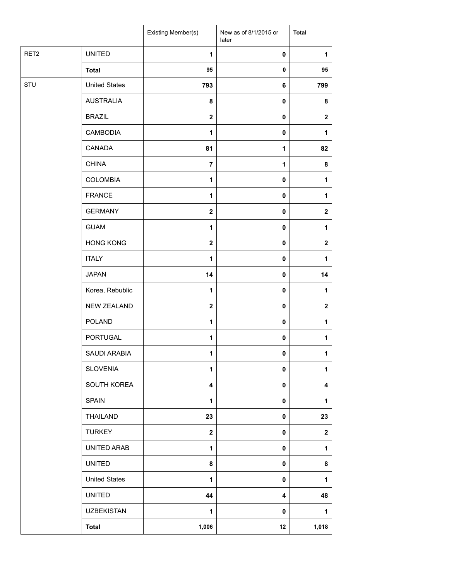|                  |                      | Existing Member(s) | New as of 8/1/2015 or<br>later | <b>Total</b> |
|------------------|----------------------|--------------------|--------------------------------|--------------|
| RET <sub>2</sub> | <b>UNITED</b>        | $\mathbf{1}$       | $\pmb{0}$                      | 1            |
|                  | <b>Total</b>         | 95                 | $\pmb{0}$                      | 95           |
| STU              | <b>United States</b> | 793                | 6                              | 799          |
|                  | <b>AUSTRALIA</b>     | 8                  | $\pmb{0}$                      | 8            |
|                  | <b>BRAZIL</b>        | $\mathbf{2}$       | 0                              | $\mathbf{2}$ |
|                  | <b>CAMBODIA</b>      | $\mathbf{1}$       | $\pmb{0}$                      | 1            |
|                  | CANADA               | 81                 | 1                              | 82           |
|                  | <b>CHINA</b>         | $\overline{7}$     | $\mathbf{1}$                   | 8            |
|                  | <b>COLOMBIA</b>      | $\mathbf{1}$       | $\pmb{0}$                      | 1            |
|                  | <b>FRANCE</b>        | $\mathbf{1}$       | $\pmb{0}$                      | 1            |
|                  | <b>GERMANY</b>       | $\boldsymbol{2}$   | $\pmb{0}$                      | $\mathbf{2}$ |
|                  | <b>GUAM</b>          | $\mathbf{1}$       | $\pmb{0}$                      | 1            |
|                  | <b>HONG KONG</b>     | $\mathbf{2}$       | $\pmb{0}$                      | $\mathbf 2$  |
|                  | <b>ITALY</b>         | $\mathbf{1}$       | $\pmb{0}$                      | 1            |
|                  | <b>JAPAN</b>         | 14                 | 0                              | 14           |
|                  | Korea, Rebublic      | $\mathbf{1}$       | 0                              | 1            |
|                  | NEW ZEALAND          | $\boldsymbol{2}$   | $\pmb{0}$                      | $\mathbf{2}$ |
|                  | <b>POLAND</b>        | $\mathbf{1}$       | $\pmb{0}$                      | 1            |
|                  | PORTUGAL             | $\mathbf{1}$       | 0                              | $\mathbf{1}$ |
|                  | SAUDI ARABIA         | 1                  | 0                              | $\mathbf{1}$ |
|                  | <b>SLOVENIA</b>      | $\mathbf{1}$       | 0                              | 1            |
|                  | SOUTH KOREA          | 4                  | 0                              | 4            |
|                  | <b>SPAIN</b>         | $\mathbf{1}$       | $\pmb{0}$                      | 1            |
|                  | THAILAND             | 23                 | 0                              | 23           |
|                  | <b>TURKEY</b>        | $\boldsymbol{2}$   | 0                              | $\mathbf 2$  |
|                  | UNITED ARAB          | $\mathbf{1}$       | 0                              | 1            |
|                  | <b>UNITED</b>        | 8                  | 0                              | 8            |
|                  | <b>United States</b> | $\mathbf{1}$       | 0                              | 1            |
|                  | <b>UNITED</b>        | 44                 | 4                              | 48           |
|                  | <b>UZBEKISTAN</b>    | 1                  | 0                              | 1            |
|                  | <b>Total</b>         | 1,006              | 12                             | 1,018        |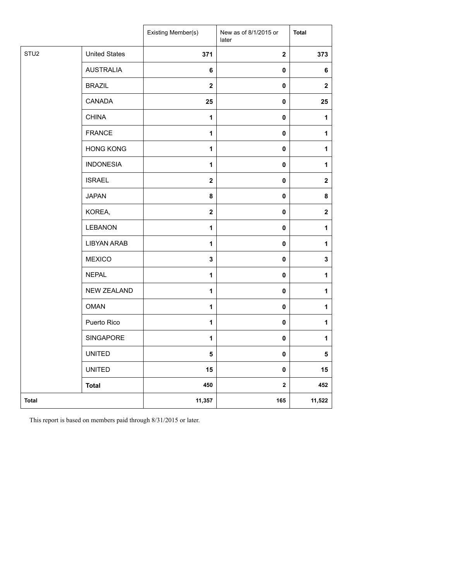|                  |                      | Existing Member(s) | New as of 8/1/2015 or<br>later | <b>Total</b>     |
|------------------|----------------------|--------------------|--------------------------------|------------------|
| STU <sub>2</sub> | <b>United States</b> | 371                | $\mathbf 2$                    | 373              |
|                  | <b>AUSTRALIA</b>     | 6                  | 0                              | 6                |
|                  | <b>BRAZIL</b>        | $\mathbf{2}$       | $\pmb{0}$                      | $\mathbf{2}$     |
|                  | CANADA               | 25                 | 0                              | 25               |
|                  | <b>CHINA</b>         | $\mathbf{1}$       | $\pmb{0}$                      | $\mathbf{1}$     |
|                  | <b>FRANCE</b>        | 1                  | 0                              | $\mathbf{1}$     |
|                  | <b>HONG KONG</b>     | 1                  | $\pmb{0}$                      | $\mathbf{1}$     |
|                  | <b>INDONESIA</b>     | 1                  | 0                              | 1                |
|                  | <b>ISRAEL</b>        | $\mathbf{2}$       | $\pmb{0}$                      | $\mathbf 2$      |
|                  | <b>JAPAN</b>         | 8                  | 0                              | 8                |
|                  | KOREA,               | $\boldsymbol{2}$   | $\pmb{0}$                      | $\boldsymbol{2}$ |
|                  | <b>LEBANON</b>       | 1                  | 0                              | $\mathbf{1}$     |
|                  | <b>LIBYAN ARAB</b>   | 1                  | $\mathbf 0$                    | $\mathbf{1}$     |
|                  | <b>MEXICO</b>        | $\mathbf{3}$       | 0                              | 3                |
|                  | <b>NEPAL</b>         | 1                  | 0                              | $\mathbf{1}$     |
|                  | <b>NEW ZEALAND</b>   | 1                  | 0                              | $\mathbf{1}$     |
|                  | <b>OMAN</b>          | $\mathbf{1}$       | 0                              | $\mathbf{1}$     |
|                  | Puerto Rico          | $\mathbf{1}$       | $\pmb{0}$                      | $\mathbf{1}$     |
|                  | SINGAPORE            | 1                  | 0                              | 1                |
|                  | <b>UNITED</b>        | 5                  | $\pmb{0}$                      | 5                |
|                  | <b>UNITED</b>        | 15                 | 0                              | 15               |
|                  | <b>Total</b>         | 450                | 2                              | 452              |
| <b>Total</b>     |                      | 11,357             | 165                            | 11,522           |

This report is based on members paid through 8/31/2015 or later.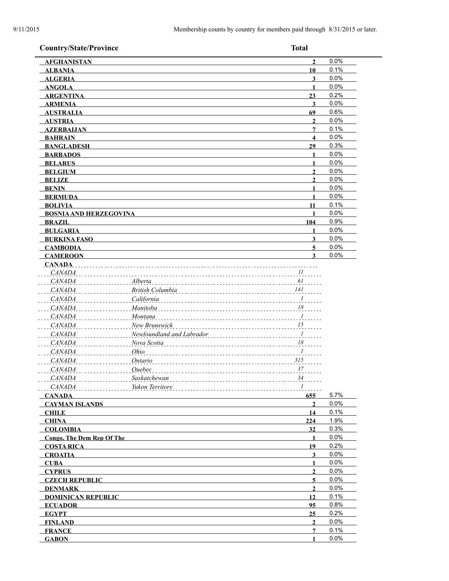| <b>Country/State/Province</b>    |                                  | <b>Total</b>            |      |
|----------------------------------|----------------------------------|-------------------------|------|
| <b>AFGHANISTAN</b>               |                                  | $\overline{2}$          | 0.0% |
| <b>ALBANIA</b>                   |                                  | 10                      | 0.1% |
| <b>ALGERIA</b>                   |                                  | $\mathbf{3}$            | 0.0% |
| <b>ANGOLA</b>                    |                                  | $\mathbf{1}$            | 0.0% |
| <b>ARGENTINA</b>                 |                                  | 23                      | 0.2% |
| <b>ARMENIA</b>                   |                                  | 3                       | 0.0% |
| <b>AUSTRALIA</b>                 |                                  | 69                      | 0.6% |
| <b>AUSTRIA</b>                   |                                  | 2                       | 0.0% |
| <b>AZERBAIJAN</b>                |                                  | 7                       | 0.1% |
| <b>BAHRAIN</b>                   |                                  | $\overline{\mathbf{4}}$ | 0.0% |
| <b>BANGLADESH</b>                |                                  | 29                      | 0.3% |
| <b>BARBADOS</b>                  |                                  |                         | 0.0% |
| <b>BELARUS</b>                   |                                  | 1                       | 0.0% |
| <b>BELGIUM</b>                   |                                  | $\mathbf{2}$            | 0.0% |
| <b>BELIZE</b>                    |                                  | $\overline{2}$          | 0.0% |
| <b>BENIN</b>                     |                                  | 1                       | 0.0% |
| <b>BERMUDA</b>                   |                                  | 1                       | 0.0% |
| <b>BOLIVIA</b>                   |                                  | 11                      | 0.1% |
| <b>BOSNIA AND HERZEGOVINA</b>    |                                  |                         | 0.0% |
| <b>BRAZIL</b>                    |                                  | 104                     | 0.9% |
| <b>BULGARIA</b>                  |                                  |                         | 0.0% |
| <b>BURKINA FASO</b>              |                                  | $\mathbf{3}$            | 0.0% |
| <b>CAMBODIA</b>                  |                                  | 5                       | 0.0% |
| <b>CAMEROON</b>                  |                                  | 3                       | 0.0% |
| <b>CANADA</b><br><i>CANADA</i>   |                                  | $\frac{1}{2}$           |      |
| <i>CANADA</i>                    | Alberta                          | 61                      |      |
| <i>CANADA</i>                    | British Columbia                 | 141                     |      |
| <i>CANADA</i>                    | California                       | $\frac{1}{2}$           |      |
| <i>CANADA</i>                    | Manitoba                         | 18                      |      |
| CANADA                           | Montana                          | $\overline{I}$          |      |
| <i>CANADA</i>                    | New Brunswick                    | $\frac{15}{15}$         |      |
| CANADA                           | . 1<br>Newfoundland and Labrador |                         |      |
| <i>CANADA</i>                    | Nova Scotia                      | 18                      |      |
| CANADA                           | Ohio                             | $\overline{I}$          |      |
| <b>CANADA</b>                    | Ontario                          | 315                     |      |
| <b>CANADA</b>                    | Quebec                           | 37                      |      |
| <i>CANADA</i>                    | Saskatchewan                     | 34                      |      |
| CANADA                           | Yukon Territory                  | $\boldsymbol{l}$        |      |
| <b>CANADA</b>                    |                                  | 655                     | 5.7% |
| <b>CAYMAN ISLANDS</b>            |                                  | $\overline{2}$          | 0.0% |
| <b>CHILE</b>                     |                                  | 14                      | 0.1% |
| <b>CHINA</b>                     |                                  | 224                     | 1.9% |
| <b>COLOMBIA</b>                  |                                  | 32                      | 0.3% |
| <b>Congo, The Dem Rep Of The</b> |                                  | 1                       | 0.0% |
| <b>COSTA RICA</b>                |                                  | 19                      | 0.2% |
| <b>CROATIA</b>                   |                                  | 3                       | 0.0% |
| <b>CUBA</b>                      |                                  | 1                       | 0.0% |
| <b>CYPRUS</b>                    |                                  | $\overline{2}$          | 0.0% |
| <b>CZECH REPUBLIC</b>            |                                  | 5                       | 0.0% |
| <b>DENMARK</b>                   |                                  | $\mathbf{2}$            | 0.0% |
| <b>DOMINICAN REPUBLIC</b>        |                                  | 12                      | 0.1% |
| <b>ECUADOR</b>                   |                                  | 95                      | 0.8% |
| <b>EGYPT</b>                     |                                  | 25                      | 0.2% |
| <b>FINLAND</b>                   |                                  | $\mathbf{2}$            | 0.0% |
| <b>FRANCE</b>                    |                                  | $7\phantom{.0}$         | 0.1% |
| <b>GABON</b>                     |                                  | 1                       | 0.0% |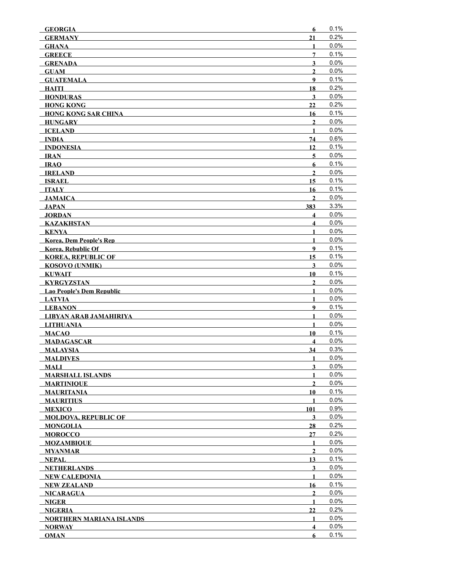| <b>GEORGIA</b>                   | 6                       | 0.1%    |
|----------------------------------|-------------------------|---------|
| <b>GERMANY</b>                   | 21                      | 0.2%    |
| <b>GHANA</b>                     | 1                       | 0.0%    |
| <b>GREECE</b>                    | 7                       | 0.1%    |
| <b>GRENADA</b>                   | $\overline{\mathbf{3}}$ | 0.0%    |
| <b>GUAM</b>                      | $\mathbf{2}$            | 0.0%    |
| <b>GUATEMALA</b>                 | 9                       | 0.1%    |
| HAITI                            | 18                      | 0.2%    |
| <b>HONDURAS</b>                  | 3                       | 0.0%    |
| <b>HONG KONG</b>                 | 22                      | 0.2%    |
| <b>HONG KONG SAR CHINA</b>       | 16                      | 0.1%    |
| <b>HUNGARY</b>                   | $\overline{2}$          | 0.0%    |
| <b>ICELAND</b>                   | $\mathbf{1}$            | 0.0%    |
| <b>INDIA</b>                     | 74                      | 0.6%    |
| <b>INDONESIA</b>                 | 12                      | 0.1%    |
| IRAN                             | 5                       | 0.0%    |
| <b>IRAO</b>                      | 6                       | 0.1%    |
| <b>IRELAND</b>                   | $\mathbf{2}$            | 0.0%    |
| <b>ISRAEL</b>                    | 15                      | 0.1%    |
| ITALY                            | 16                      | 0.1%    |
| JAMAICA                          | $\overline{2}$          | 0.0%    |
| <b>JAPAN</b>                     | 383                     | 3.3%    |
| <b>JORDAN</b>                    | $\overline{\mathbf{4}}$ | 0.0%    |
| <b>KAZAKHSTAN</b>                | $\overline{\mathbf{4}}$ | 0.0%    |
| KENYA                            | $\mathbf{1}$            | 0.0%    |
| <b>Korea, Dem People's Rep</b>   | $\mathbf{1}$            | 0.0%    |
| <b>Korea, Rebublic Of</b>        | 9                       | 0.1%    |
| <b>KOREA, REPUBLIC OF</b>        | 15                      | 0.1%    |
| <b>KOSOVO (UNMIK)</b>            | $\overline{\mathbf{3}}$ | 0.0%    |
| <b>KUWAIT</b>                    | 10                      | 0.1%    |
| <b>KYRGYZSTAN</b>                | $\mathbf{2}$            | 0.0%    |
| <b>Lao People's Dem Republic</b> | 1                       | 0.0%    |
| <b>LATVIA</b>                    | 1                       | 0.0%    |
| <b>LEBANON</b>                   | $\boldsymbol{9}$        | 0.1%    |
| LIBYAN ARAB JAMAHIRIYA           | $\mathbf{1}$            | 0.0%    |
| <b>LITHUANIA</b>                 | $\mathbf{1}$            | 0.0%    |
| MACAO                            | 10                      | 0.1%    |
| <b>MADAGASCAR</b>                | $\overline{\mathbf{4}}$ | 0.0%    |
| <b>MALAYSIA</b>                  | 34                      | 0.3%    |
| <b>MALDIVES</b>                  | 1                       | 0.0%    |
| <b>MALI</b>                      | 3                       | 0.0%    |
| <b>MARSHALL ISLANDS</b>          | 1                       | 0.0%    |
| <b>MARTINIQUE</b>                | $\mathbf{2}$            | 0.0%    |
| <b>MAURITANIA</b>                | 10                      | 0.1%    |
| <b>MAURITIUS</b>                 | 1                       | 0.0%    |
| <b>MEXICO</b>                    | 101                     | 0.9%    |
| <b>MOLDOVA, REPUBLIC OF</b>      | 3                       | $0.0\%$ |
| <b>MONGOLIA</b>                  | 28                      | 0.2%    |
| <b>MOROCCO</b>                   | 27                      | 0.2%    |
| <b>MOZAMBIQUE</b>                | $\mathbf{1}$            | 0.0%    |
| <b>MYANMAR</b>                   | $\overline{2}$          | 0.0%    |
| NEPAL                            | 13                      | 0.1%    |
| <b>NETHERLANDS</b>               | 3                       | 0.0%    |
| <b>NEW CALEDONIA</b>             | 1                       | $0.0\%$ |
| <b>NEW ZEALAND</b>               | 16                      | 0.1%    |
| <b>NICARAGUA</b>                 | $\mathbf{2}$            | 0.0%    |
| MGER                             | $\mathbf{1}$            | 0.0%    |
| <b>NIGERIA</b>                   | 22                      | 0.2%    |
| <b>NORTHERN MARIANA ISLANDS</b>  | $\mathbf{1}$            | $0.0\%$ |
| <b>NORWAY</b>                    | $\overline{\mathbf{4}}$ | 0.0%    |
| <b>OMAN</b>                      | 6                       | 0.1%    |
|                                  |                         |         |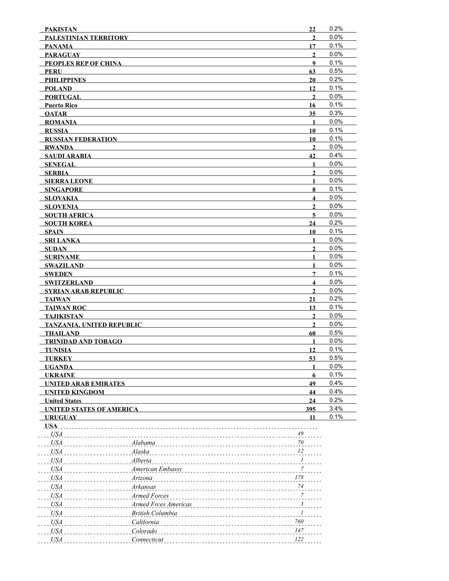| <b>PAKISTAN</b>                                         | 22                                    | 0.2%         |
|---------------------------------------------------------|---------------------------------------|--------------|
| PALESTINIAN TERRITORY                                   | $\overline{2}$                        | 0.0%         |
| <b>PANAMA</b>                                           | 17                                    | 0.1%         |
| <b>PARAGUAY</b>                                         | $\mathbf{2}$                          | 0.0%         |
| PEOPLES REP OF CHINA                                    | 9                                     | 0.1%         |
| <b>PERU</b>                                             | 63                                    | 0.5%         |
| <b>PHILIPPINES</b>                                      | 20                                    | 0.2%         |
| <b>POLAND</b>                                           | 12                                    | 0.1%         |
| <b>PORTUGAL</b>                                         | $\mathbf{2}$                          | 0.0%         |
| <b>Puerto Rico</b>                                      | 16                                    | 0.1%<br>0.3% |
| <b>OATAR</b>                                            | 35                                    | 0.0%         |
| <b>ROMANIA</b><br><b>RUSSIA</b>                         | $\mathbf{1}$<br>10                    | 0.1%         |
| <b>RUSSIAN FEDERATION</b>                               | 10                                    | 0.1%         |
| <b>RWANDA</b>                                           | $\overline{2}$                        | 0.0%         |
| SAUDI ARABIA                                            | 42                                    | 0.4%         |
| <b>SENEGAL</b>                                          | $\mathbf{1}$                          | 0.0%         |
| <b>SERBIA</b>                                           | $\mathbf{2}$                          | 0.0%         |
| <b>SIERRA LEONE</b>                                     | 1                                     | 0.0%         |
| <b>SINGAPORE</b>                                        | 8                                     | 0.1%         |
| <b>SLOVAKIA</b>                                         | $\overline{\mathbf{4}}$               | 0.0%         |
| <b>SLOVENIA</b>                                         | $\mathbf{2}$                          | 0.0%         |
| <b>SOUTH AFRICA</b>                                     | 5                                     | 0.0%         |
| <b>SOUTH KOREA</b>                                      | 24                                    | 0.2%         |
| SPAIN                                                   | 10                                    | 0.1%         |
| <b>SRI LANKA</b>                                        | $\mathbf{1}$                          | 0.0%         |
| <b>SUDAN</b>                                            | $\overline{2}$                        | 0.0%         |
| <b>SURINAME</b>                                         | $\mathbf{1}$                          | 0.0%         |
| <b>SWAZILAND</b>                                        | $\mathbf{1}$                          | 0.0%<br>0.1% |
| <b>SWEDEN</b>                                           | 7<br>$\overline{\mathbf{4}}$          | 0.0%         |
| <b>SWITZERLAND</b><br><b>SYRIAN ARAB REPUBLIC</b>       | $\mathbf{2}$                          | 0.0%         |
| <b>TAIWAN</b>                                           | 21                                    | 0.2%         |
| <b>TAIWAN ROC</b>                                       | 13                                    | 0.1%         |
| <b>TAJIKISTAN</b>                                       | $\overline{2}$                        | 0.0%         |
| <b>TANZANIA, UNITED REPUBLIC</b>                        | $\overline{2}$                        | 0.0%         |
| <b>THAILAND</b>                                         | 60                                    | 0.5%         |
| <b>TRINIDAD AND TOBAGO</b>                              | $\mathbf{1}$                          | 0.0%         |
| <b>TUNISIA</b>                                          | 12                                    | 0.1%         |
| <b>TURKEY</b>                                           | 53                                    | 0.5%         |
| <b>UGANDA</b>                                           |                                       | 0.0%         |
| <b>UKRAINE</b>                                          | 6                                     | 0.1%         |
| <b>UNITED ARAB EMIRATES</b>                             | 49                                    | 0.4%         |
| <b>UNITED KINGDOM</b>                                   | 44                                    | 0.4%<br>0.2% |
| <b>United States</b><br><b>UNITED STATES OF AMERICA</b> | 24<br>395                             | 3.4%         |
| <b>URUGUAY</b>                                          | 11                                    | 0.1%         |
| USA.                                                    |                                       |              |
| <b>USA</b>                                              | 49                                    |              |
| Alabama<br><b>USA</b>                                   | 70                                    |              |
| Alaska<br>USA                                           | 12                                    |              |
| USA<br>Alberta                                          | $\mathcal{I}$                         |              |
| USA                                                     | American Embassy<br>7                 |              |
| <i>USA</i><br>Arizona                                   | 178                                   |              |
| Arkansas<br><i>USA</i>                                  | 74                                    |              |
| <i>USA</i><br>Armed Forces                              | $\boldsymbol{7}$                      |              |
| <i>USA</i>                                              | Armed Frces Americas<br>$\frac{3}{2}$ |              |
| <b>USA</b><br>British Columbia                          | 1                                     |              |
| <i>USA</i><br>California                                | 760                                   |              |
| <b>USA</b><br>Colorado                                  | 147                                   |              |
| <b>USA</b><br>Connecticut                               | 122                                   |              |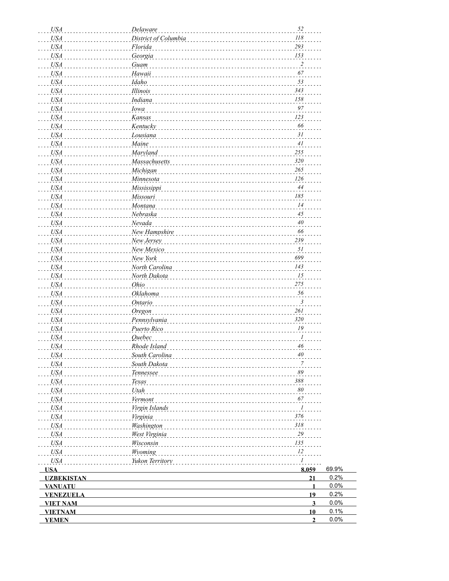| <b>USA</b>        | Delaware             | 52                          |       |
|-------------------|----------------------|-----------------------------|-------|
| <b>USA</b>        | District of Columbia | 118                         |       |
| USA               | Florida              | 293                         |       |
| <b>USA</b>        | Georgia              | 153                         |       |
| <b>USA</b>        | Guam                 | $\overline{\mathbf{c}}$     |       |
| <b>USA</b>        | Hawaii               | 67                          |       |
| <b>USA</b>        | Idaho                | 53                          |       |
| <b>USA</b>        | Illinois             | 343                         |       |
| <b>USA</b>        | Indiana              | 158                         |       |
| <b>USA</b>        | <b>Iowa</b>          | 97                          |       |
| <b>USA</b>        | Kansas               | 123                         |       |
| <b>USA</b>        | Kentucky             | 66                          |       |
| <b>USA</b>        | Lousiana             | 31                          |       |
| <b>USA</b>        | Maine                | 41                          |       |
| <b>USA</b>        | Maryland             | 255                         |       |
| <b>USA</b>        | Massachusetts        | 320                         |       |
| <b>USA</b>        | Michigan             | 265                         |       |
| <b>USA</b>        | Minnesota            | 126                         |       |
|                   |                      | 44                          |       |
| <b>USA</b>        | Mississippi          | 185                         |       |
| <b>USA</b>        | Missouri             |                             |       |
| <b>USA</b>        | Montana              | 14                          |       |
| <b>USA</b>        | Nebraska             | $45\,$                      |       |
| <b>USA</b>        | Nevada               | $40\,$                      |       |
| <b>USA</b>        | New Hampshire        | 66                          |       |
| <b>USA</b>        | New Jersey           | 239                         |       |
| <b>USA</b>        | New Mexico           | 51                          |       |
| <b>USA</b>        | New York             | 699                         |       |
| <b>USA</b>        | North Carolina       | 143                         |       |
| <b>USA</b>        | North Dakota         | 15                          |       |
| <b>USA</b>        | Ohio                 | 275                         |       |
| <b>USA</b>        | Oklahoma             | 56                          |       |
| <b>USA</b>        | <b>Ontario</b>       | 3                           |       |
| <b>USA</b>        | Oregon               | 261                         |       |
| <b>USA</b>        | Pennsylvania         | 320                         |       |
| <b>USA</b>        | Puerto Rico          | ${\it I9}$                  |       |
| <b>USA</b>        | <b>Ouebec</b>        | 1                           |       |
| <b>USA</b>        | Rhode Island         | 46                          |       |
| USA               | South Carolina       | 40                          |       |
| USA               | South Dakota         | 7                           |       |
| <b>USA</b>        | Tennessee            | 89                          |       |
| <b>USA</b>        | Texas                | 388                         |       |
| <b>USA</b>        | Utah                 | 80                          |       |
| <b>USA</b>        | Vermont              | 67                          |       |
| <b>USA</b>        | Virgin Islands       | $\mathcal{I}_{\mathcal{I}}$ |       |
| <b>USA</b>        | Virginia             | 376                         |       |
| <b>USA</b>        | Washington           | 318                         |       |
| <b>USA</b>        | West Virginia        | 29                          |       |
| <b>USA</b>        | Wisconsin            | 135                         |       |
| <b>USA</b>        | Wyoming              | 12                          |       |
| <b>USA</b>        | Yukon Territory      | 1                           |       |
| <b>USA</b>        |                      | 8,059                       | 69.9% |
| <b>UZBEKISTAN</b> |                      | 21                          | 0.2%  |
| <b>VANUATU</b>    |                      | $\mathbf{1}$                | 0.0%  |
| <b>VENEZUELA</b>  |                      | 19                          | 0.2%  |
| <b>VIET NAM</b>   |                      | $\overline{\mathbf{3}}$     | 0.0%  |
| <b>VIETNAM</b>    |                      | 10                          | 0.1%  |
| <b>YEMEN</b>      |                      | $\overline{2}$              | 0.0%  |
|                   |                      |                             |       |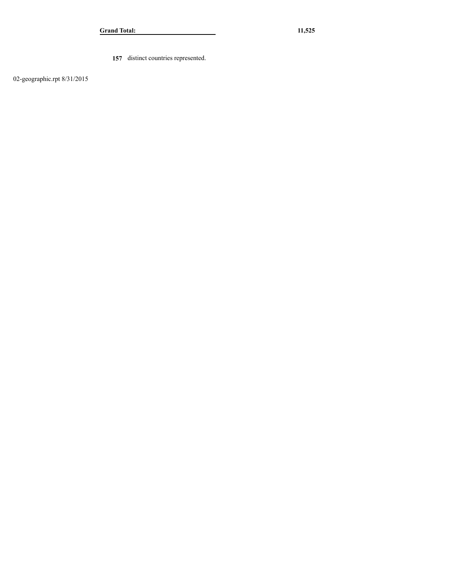**157** distinct countries represented.

02-geographic.rpt 8/31/2015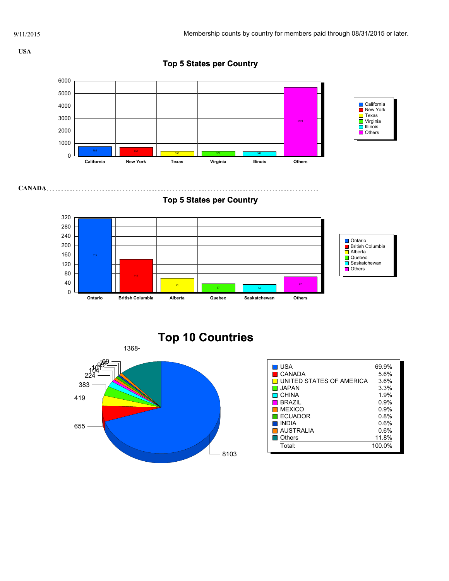



| USA                      | 69.9%  |
|--------------------------|--------|
| CANADA                   | 5.6%   |
| UNITED STATES OF AMERICA | 3.6%   |
| I JAPAN                  | 3.3%   |
| CHINA                    | 1.9%   |
| <b>BRAZIL</b>            | 0.9%   |
| <b>MEXICO</b>            | 0.9%   |
| <b>FCUADOR</b>           | 0.8%   |
| <b>INDIA</b>             | 0.6%   |
| I AUSTRALIA              | 0.6%   |
| Others                   | 11.8%  |
| Total:                   | 100.0% |
|                          |        |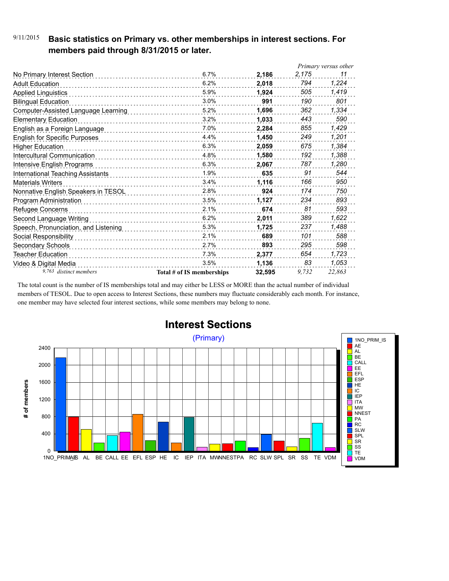## 9/11/2015 **Basic statistics on Primary vs. other memberships in interest sections. For members paid through 8/31/2015 or later.**

|                                      |                           |        | Primary versus other |        |
|--------------------------------------|---------------------------|--------|----------------------|--------|
| No Primary Interest Section          | 6.7%                      | 2,186  | 2,175                | 11     |
| <b>Adult Education</b>               | 6.2%                      | 2,018  | 794                  | 1,224  |
| <b>Applied Linguistics</b>           | 5.9%                      | 1.924  | 505                  | 1,419  |
| <b>Bilingual Education</b>           | 3.0%                      | 991    | 190                  | 801    |
| Computer-Assisted Language Learning  | 5.2%                      | 1,696  | 362                  | 1,334  |
| <b>Elementary Education</b>          | 3.2%                      | 1,033  | 443                  | 590    |
| English as a Foreign Language        | 7.0%                      | 2.284  | 855                  | 1,429  |
| <b>English for Specific Purposes</b> | 4.4%                      | 1.450  | 249                  | 1,201  |
| <b>Higher Education</b>              | 6.3%                      | 2,059  | 675                  | 1,384  |
| Intercultural Communication          | 4.8%                      | 1,580  | 192                  | 1,388  |
| Intensive English Programs           | 6.3%                      | 2,067  | 787                  | 1,280  |
| International Teaching Assistants    | 1.9%                      | 635    | 91                   | 544    |
| <b>Materials Writers</b>             | 3.4%<br>.                 | 1,116  | 166                  | 950    |
| Nonnative English Speakers in TESOL  | 2.8%                      | 924    | 174                  | 750    |
| Program Administration               | 3.5%                      | 1,127  | 234                  | 893    |
| Refugee Concerns                     | 2.1%                      | 674    | 81                   | 593    |
| Second Language Writing              | 6.2%                      | 2,011  | 389                  | 1,622  |
| Speech, Pronunciation, and Listening | 5.3%                      | 1,725  | 237                  | 1,488  |
| Social Responsibility                | 2.1%                      | 689    | 101                  | 588    |
| Secondary Schools                    | 2.7%                      | 893    | 295                  | 598    |
| Teacher Education                    | 7.3%                      | 2,377  | 654                  | 1,723  |
| Video & Digital Media                | 3.5%                      | 1,136  | 83                   | 1,053  |
| 9,763 distinct members               | Total # of IS memberships | 32.595 | 9.732                | 22,863 |

The total count is the number of IS memberships total and may either be LESS or MORE than the actual number of individual members of TESOL. Due to open access to Interest Sections, these numbers may fluctuate considerably each month. For instance, one member may have selected four interest sections, while some members may belong to none.



# **Interest Sections**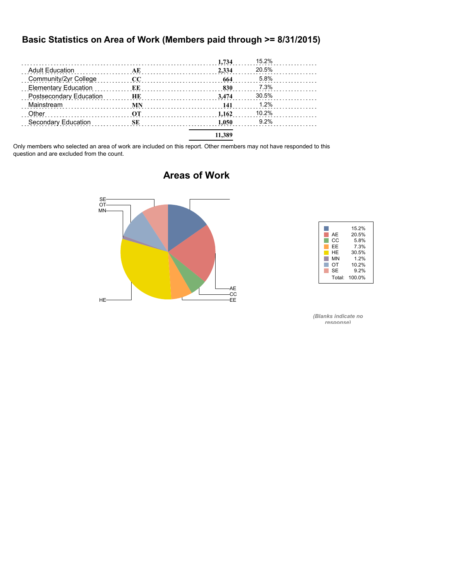### **Basic Statistics on Area of Work (Members paid through >= 8/31/2015)**

|                             |           | 1,734                                      | 15.2%   |  |
|-----------------------------|-----------|--------------------------------------------|---------|--|
| <b>Adult Education</b>      | AЕ        | 2.334                                      | 20.5%   |  |
| Community/2yr College       | $\bf CC$  | 664                                        | 5.8%    |  |
| <b>Elementary Education</b> | ЕE        | 830                                        | 7.3%    |  |
| Postsecondary Education     | HЕ        | 3.474<br><b>Market Band Band Band Band</b> | 30.5%   |  |
| Mainstream                  | MN        | 141                                        | 1.2%    |  |
| Other                       | OТ        | 1.162                                      | 10.2%   |  |
| Secondary Education         | <b>SE</b> | 1.050                                      | $9.2\%$ |  |
|                             |           | 11.389                                     |         |  |

Only members who selected an area of work are included on this report. Other members may not have responded to this question and are excluded from the count.

# AE -CC<br>-EE  $HE$  and  $E$  and  $E$  and  $E$  and  $E$  and  $E$  and  $E$  and  $E$  and  $E$  and  $E$  and  $E$  and  $E$  and  $E$  and  $E$  and  $E$  and  $E$  and  $E$  and  $E$  and  $E$  and  $E$  and  $E$  and  $E$  and  $E$  and  $E$  and  $E$  and  $E$  and  $E$  and  $E$  a MN OT SE

#### H 15.2% AE 20.5%<br>CC 5.8%<br>EE 7.3%<br>HE 30.5% CC 5.8% EE 7.3% HE 30.5% MN 1.2%<br>
OT 10.2% OT 10.2%  $9.2%$ Total: 100.0%

*(Blanks indicate no response)*

## **Areas of Work**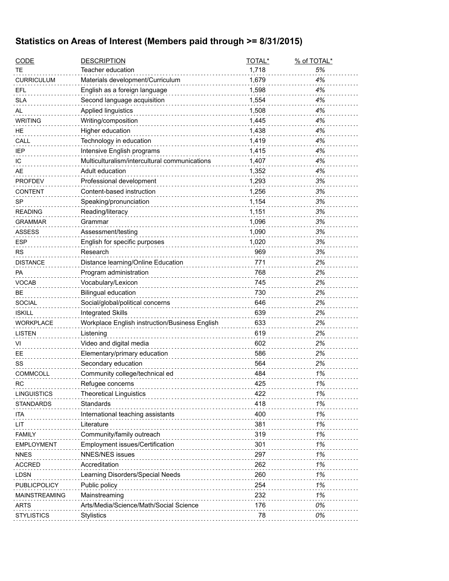# **Statistics on Areas of Interest (Members paid through >= 8/31/2015)**

| <b>CODE</b>          | <b>DESCRIPTION</b>                             | TOTAL* | % of TOTAL* |
|----------------------|------------------------------------------------|--------|-------------|
| TE                   | Teacher education                              | 1,718  | 5%          |
| <b>CURRICULUM</b>    | Materials development/Curriculum               | 1,679  | 4%          |
| <b>EFL</b>           | English as a foreign language                  | 1,598  | 4%          |
| <b>SLA</b>           | Second language acquisition                    | 1,554  | 4%          |
| AL                   | Applied linguistics                            | 1,508  | 4%          |
| <b>WRITING</b>       | Writing/composition                            | 1,445  | 4%          |
| HE.                  | Higher education                               | 1,438  | 4%          |
| CALL                 | Technology in education                        | 1,419  | 4%          |
| <b>IEP</b>           | Intensive English programs                     | 1,415  | 4%          |
| IC                   | Multiculturalism/intercultural communications  | 1,407  | 4%          |
| AE                   | Adult education                                | 1,352  | 4%          |
| <b>PROFDEV</b>       | Professional development                       | 1,293  | 3%          |
| <b>CONTENT</b>       | Content-based instruction                      | 1,256  | 3%          |
| <b>SP</b>            | Speaking/pronunciation                         | 1,154  | 3%          |
| <b>READING</b>       | Reading/literacy                               | 1,151  | 3%          |
| <b>GRAMMAR</b>       | Grammar                                        | 1,096  | 3%          |
| <b>ASSESS</b>        | Assessment/testing                             | 1,090  | 3%          |
| <b>ESP</b>           | English for specific purposes                  | 1,020  | 3%          |
| <b>RS</b>            | Research                                       | 969    | 3%          |
| <b>DISTANCE</b>      | Distance learning/Online Education             | 771    | 2%          |
| PA                   | Program administration                         | 768    | 2%          |
| VOCAB                | Vocabulary/Lexicon                             | 745    | 2%          |
| <b>BE</b>            | <b>Bilingual education</b>                     | 730    | 2%          |
| <b>SOCIAL</b>        | Social/global/political concerns               | 646    | 2%          |
| <b>ISKILL</b>        | <b>Integrated Skills</b>                       | 639    | 2%          |
| <b>WORKPLACE</b>     | Workplace English instruction/Business English | 633    | 2%          |
| <b>LISTEN</b>        | Listening                                      | 619    | 2%          |
| VI                   | Video and digital media                        | 602    | 2%          |
| EЕ                   | Elementary/primary education                   | 586    | 2%          |
| SS                   | Secondary education                            | 564    | 2%          |
| <b>COMMCOLL</b>      | Community college/technical ed                 | 484    | 1%          |
| <b>RC</b>            | Refugee concerns                               | 425    | 1%          |
| <b>LINGUISTICS</b>   | <b>Theoretical Linguistics</b>                 | 422    | 1%          |
| <b>STANDARDS</b>     | Standards                                      | 418    | 1%          |
| ita                  | International teaching assistants              | 400    | 1%          |
| LIT                  | Literature                                     | 381    | 1%          |
| <b>FAMILY</b>        | Community/family outreach                      | 319    | 1%          |
| <b>EMPLOYMENT</b>    | Employment issues/Certification                | 301    | 1%          |
| <b>NNES</b>          | <b>NNES/NES issues</b>                         | 297    | 1%          |
| <b>ACCRED</b>        | Accreditation                                  | 262    | 1%          |
| <b>LDSN</b>          | Learning Disorders/Special Needs               | 260    | 1%          |
| PUBLICPOLICY         | Public policy                                  | 254    | 1%          |
| <b>MAINSTREAMING</b> | Mainstreaming                                  | 232    | 1%          |
| <b>ARTS</b>          | Arts/Media/Science/Math/Social Science         | 176    | 0%          |
| <b>STYLISTICS</b>    | Stylistics                                     | 78     | 0%          |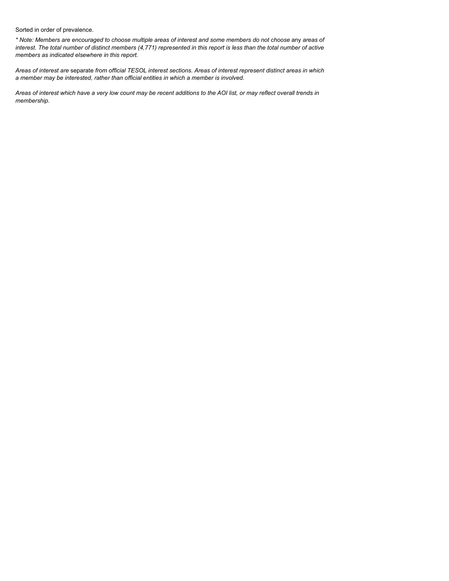Sorted in order of prevalence.

*\* Note: Members are encouraged to choose multiple areas of interest and some members do not choose* any *areas of interest. The total number of distinct members (4,771) represented in this report is less than the total number of active members as indicated elsewhere in this report.*

*Areas of interest are* separate *from official TESOL interest sections. Areas of interest represent distinct areas in which a member may be interested, rather than official entities in which a member is involved.*

*Areas of interest which have a very low count may be recent additions to the AOI list, or may reflect overall trends in membership.*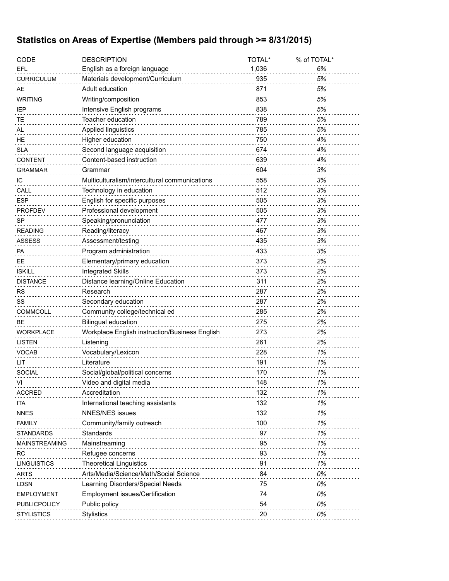# **Statistics on Areas of Expertise (Members paid through >= 8/31/2015)**

| <b>CODE</b>          | <b>DESCRIPTION</b>                             | TOTAL* | % of TOTAL* |
|----------------------|------------------------------------------------|--------|-------------|
| EFL                  | English as a foreign language                  | 1,036  | 6%          |
| <b>CURRICULUM</b>    | Materials development/Curriculum               | 935    | 5%          |
| <b>AE</b>            | Adult education                                | 871    | 5%          |
| <b>WRITING</b>       | Writing/composition                            | 853    | 5%          |
| <b>IEP</b>           | Intensive English programs                     | 838    | 5%          |
| TE                   | Teacher education                              | 789    | 5%          |
| AL                   | Applied linguistics                            | 785    | 5%          |
| HE                   | Higher education                               | 750    | 4%          |
| <b>SLA</b>           | Second language acquisition                    | 674    | 4%          |
| <b>CONTENT</b>       | Content-based instruction                      | 639    | 4%          |
| <b>GRAMMAR</b>       | Grammar                                        | 604    | 3%          |
| IС                   | Multiculturalism/intercultural communications  | 558    | 3%          |
| CALL                 | Technology in education                        | 512    | 3%          |
| ESP                  | English for specific purposes                  | 505    | 3%          |
| <b>PROFDEV</b>       | Professional development                       | 505    | 3%          |
| <b>SP</b>            | Speaking/pronunciation                         | 477    | 3%          |
| <b>READING</b>       | Reading/literacy                               | 467    | 3%          |
| <b>ASSESS</b>        | Assessment/testing                             | 435    | 3%          |
| <b>PA</b>            | Program administration                         | 433    | 3%          |
| <b>EE</b>            | Elementary/primary education                   | 373    | 2%          |
| <b>ISKILL</b>        | <b>Integrated Skills</b>                       | 373    | 2%          |
| <b>DISTANCE</b>      | Distance learning/Online Education             | 311    | 2%          |
| <b>RS</b>            | Research                                       | 287    | 2%          |
| SS                   | Secondary education                            | 287    | 2%          |
| <b>COMMCOLL</b>      | Community college/technical ed                 | 285    | 2%          |
| <b>BE</b>            | <b>Bilingual education</b>                     | 275    | 2%          |
| <b>WORKPLACE</b>     | Workplace English instruction/Business English | 273    | 2%          |
| <b>LISTEN</b>        | Listening                                      | 261    | 2%          |
| <b>VOCAB</b>         | Vocabulary/Lexicon                             | 228    | 1%          |
| LIT                  | Literature                                     | 191    | 1%          |
| <b>SOCIAL</b>        | Social/global/political concerns               | 170    | 1%          |
| VI                   | Video and digital media                        | 148    | 1%          |
| <b>ACCRED</b>        | Accreditation                                  | 132    | 1%          |
| ITA                  | International teaching assistants              | 132    | 1%          |
| <b>NNES</b>          | <b>NNES/NES issues</b>                         | 132    | 1%          |
| <b>FAMILY</b>        | Community/family outreach                      | 100    | 1%          |
| <b>STANDARDS</b>     | Standards                                      | 97     | 1%          |
| <b>MAINSTREAMING</b> | Mainstreaming                                  | 95     | 1%          |
| RC                   | Refugee concerns                               | 93     | 1%          |
| <b>LINGUISTICS</b>   | <b>Theoretical Linguistics</b>                 | 91     | 1%          |
| <b>ARTS</b>          | Arts/Media/Science/Math/Social Science         | 84     | 0%          |
| <b>LDSN</b>          | Learning Disorders/Special Needs               | 75     | 0%          |
| EMPLOYMENT           | Employment issues/Certification                | 74     | 0%          |
| PUBLICPOLICY         | Public policy                                  | 54     | 0%          |
| <b>STYLISTICS</b>    | <b>Stylistics</b>                              | 20     | 0%          |